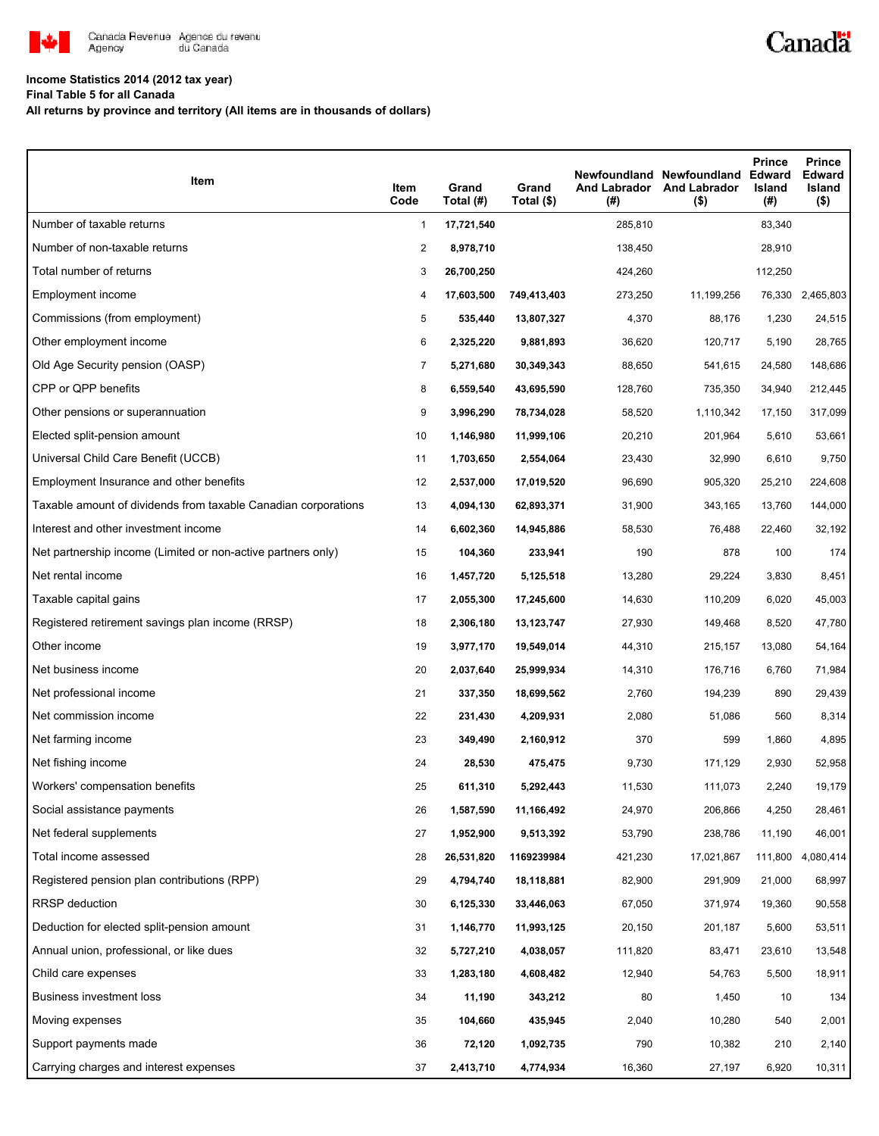

## **Income Statistics 2014 (2012 tax year)**

**Final Table 5 for all Canada**

**All returns by province and territory (All items are in thousands of dollars)**

| Item                                                           | Item<br>Code   | Grand<br>Total (#) | Grand<br>Total (\$) | <b>And Labrador</b><br>(#) | Newfoundland Newfoundland<br><b>And Labrador</b><br>$($ \$) | <b>Prince</b><br><b>Edward</b><br>Island<br>(#) | <b>Prince</b><br>Edward<br>Island<br>$($ \$) |
|----------------------------------------------------------------|----------------|--------------------|---------------------|----------------------------|-------------------------------------------------------------|-------------------------------------------------|----------------------------------------------|
| Number of taxable returns                                      | $\mathbf{1}$   | 17,721,540         |                     | 285,810                    |                                                             | 83,340                                          |                                              |
| Number of non-taxable returns                                  | $\overline{2}$ | 8,978,710          |                     | 138,450                    |                                                             | 28,910                                          |                                              |
| Total number of returns                                        | 3              | 26,700,250         |                     | 424,260                    |                                                             | 112,250                                         |                                              |
| Employment income                                              | 4              | 17,603,500         | 749,413,403         | 273,250                    | 11,199,256                                                  |                                                 | 76,330 2,465,803                             |
| Commissions (from employment)                                  | 5              | 535,440            | 13,807,327          | 4,370                      | 88,176                                                      | 1,230                                           | 24,515                                       |
| Other employment income                                        | 6              | 2,325,220          | 9,881,893           | 36,620                     | 120,717                                                     | 5,190                                           | 28,765                                       |
| Old Age Security pension (OASP)                                | $\overline{7}$ | 5,271,680          | 30,349,343          | 88,650                     | 541,615                                                     | 24,580                                          | 148,686                                      |
| CPP or QPP benefits                                            | 8              | 6,559,540          | 43,695,590          | 128,760                    | 735,350                                                     | 34,940                                          | 212,445                                      |
| Other pensions or superannuation                               | 9              | 3,996,290          | 78,734,028          | 58,520                     | 1,110,342                                                   | 17,150                                          | 317,099                                      |
| Elected split-pension amount                                   | 10             | 1,146,980          | 11,999,106          | 20,210                     | 201,964                                                     | 5,610                                           | 53,661                                       |
| Universal Child Care Benefit (UCCB)                            | 11             | 1,703,650          | 2,554,064           | 23,430                     | 32,990                                                      | 6,610                                           | 9,750                                        |
| Employment Insurance and other benefits                        | 12             | 2,537,000          | 17,019,520          | 96,690                     | 905,320                                                     | 25,210                                          | 224,608                                      |
| Taxable amount of dividends from taxable Canadian corporations | 13             | 4,094,130          | 62,893,371          | 31,900                     | 343,165                                                     | 13,760                                          | 144,000                                      |
| Interest and other investment income                           | 14             | 6,602,360          | 14,945,886          | 58,530                     | 76,488                                                      | 22,460                                          | 32,192                                       |
| Net partnership income (Limited or non-active partners only)   | 15             | 104,360            | 233,941             | 190                        | 878                                                         | 100                                             | 174                                          |
| Net rental income                                              | 16             | 1,457,720          | 5,125,518           | 13,280                     | 29,224                                                      | 3,830                                           | 8,451                                        |
| Taxable capital gains                                          | 17             | 2,055,300          | 17,245,600          | 14,630                     | 110,209                                                     | 6,020                                           | 45,003                                       |
| Registered retirement savings plan income (RRSP)               | 18             | 2,306,180          | 13, 123, 747        | 27,930                     | 149,468                                                     | 8,520                                           | 47,780                                       |
| Other income                                                   | 19             | 3,977,170          | 19,549,014          | 44,310                     | 215,157                                                     | 13,080                                          | 54,164                                       |
| Net business income                                            | 20             | 2,037,640          | 25,999,934          | 14,310                     | 176,716                                                     | 6,760                                           | 71,984                                       |
| Net professional income                                        | 21             | 337,350            | 18,699,562          | 2,760                      | 194,239                                                     | 890                                             | 29,439                                       |
| Net commission income                                          | 22             | 231,430            | 4,209,931           | 2,080                      | 51,086                                                      | 560                                             | 8,314                                        |
| Net farming income                                             | 23             | 349,490            | 2,160,912           | 370                        | 599                                                         | 1,860                                           | 4,895                                        |
| Net fishing income                                             | 24             | 28,530             | 475,475             | 9,730                      | 171,129                                                     | 2,930                                           | 52,958                                       |
| Workers' compensation benefits                                 | 25             | 611,310            | 5,292,443           | 11,530                     | 111,073                                                     | 2,240                                           | 19,179                                       |
| Social assistance payments                                     | 26             | 1,587,590          | 11,166,492          | 24,970                     | 206,866                                                     | 4,250                                           | 28,461                                       |
| Net federal supplements                                        | 27             | 1,952,900          | 9,513,392           | 53,790                     | 238,786                                                     | 11,190                                          | 46,001                                       |
| Total income assessed                                          | 28             | 26,531,820         | 1169239984          | 421,230                    | 17,021,867                                                  | 111,800                                         | 4,080,414                                    |
| Registered pension plan contributions (RPP)                    | 29             | 4,794,740          | 18,118,881          | 82,900                     | 291,909                                                     | 21,000                                          | 68,997                                       |
| RRSP deduction                                                 | 30             | 6,125,330          | 33,446,063          | 67,050                     | 371,974                                                     | 19,360                                          | 90,558                                       |
| Deduction for elected split-pension amount                     | 31             | 1,146,770          | 11,993,125          | 20,150                     | 201,187                                                     | 5,600                                           | 53,511                                       |
| Annual union, professional, or like dues                       | 32             | 5,727,210          | 4,038,057           | 111,820                    | 83,471                                                      | 23,610                                          | 13,548                                       |
| Child care expenses                                            | 33             | 1,283,180          | 4,608,482           | 12,940                     | 54,763                                                      | 5,500                                           | 18,911                                       |
| Business investment loss                                       | 34             | 11,190             | 343,212             | 80                         | 1,450                                                       | 10                                              | 134                                          |
| Moving expenses                                                | 35             | 104,660            | 435,945             | 2,040                      | 10,280                                                      | 540                                             | 2,001                                        |
| Support payments made                                          | 36             | 72,120             | 1,092,735           | 790                        | 10,382                                                      | 210                                             | 2,140                                        |
| Carrying charges and interest expenses                         | 37             | 2,413,710          | 4,774,934           | 16,360                     | 27,197                                                      | 6,920                                           | 10,311                                       |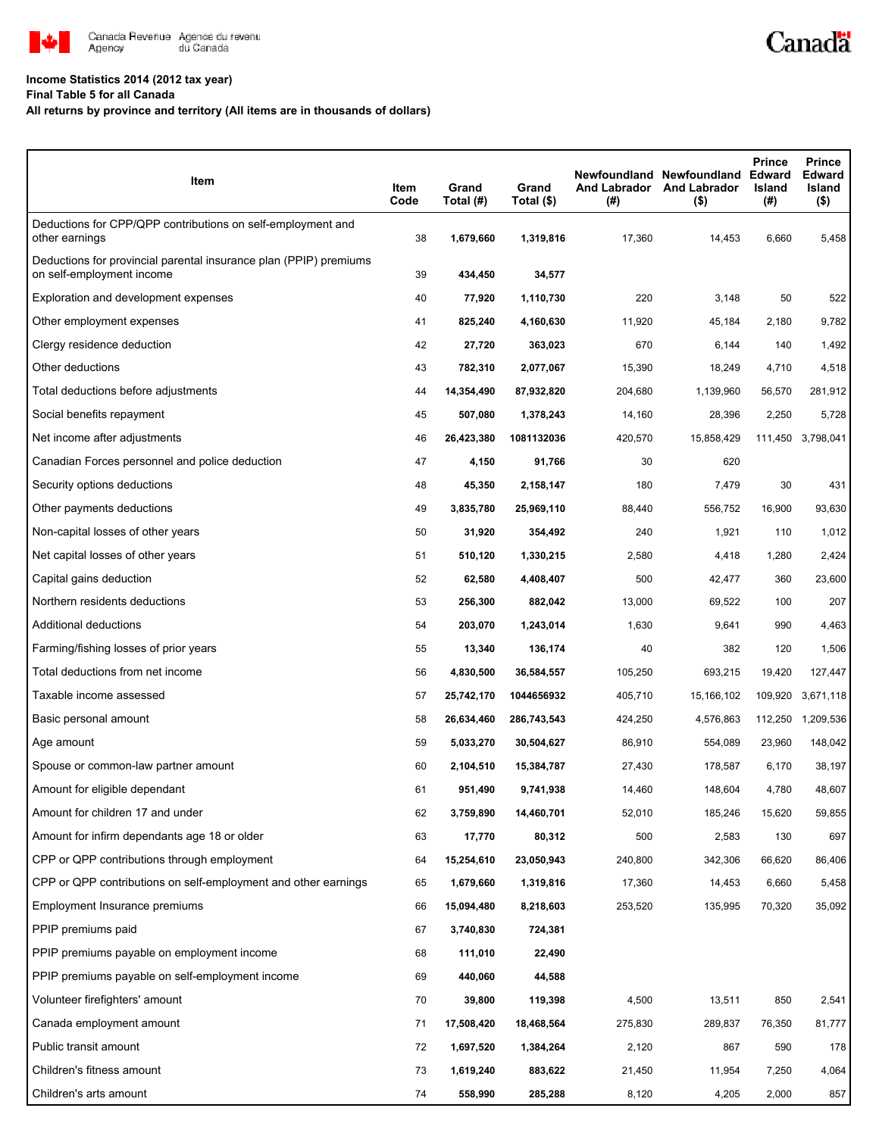

## **Income Statistics 2014 (2012 tax year)**

**Final Table 5 for all Canada**

## **All returns by province and territory (All items are in thousands of dollars)**

| Item                                                                                           | Item<br>Code | Grand<br>Total (#) | Grand<br>Total (\$) | (#)     | Newfoundland Newfoundland<br>And Labrador And Labrador<br>$($ \$) | <b>Prince</b><br><b>Edward</b><br>Island<br>(#) | <b>Prince</b><br><b>Edward</b><br>Island<br>$($ \$) |
|------------------------------------------------------------------------------------------------|--------------|--------------------|---------------------|---------|-------------------------------------------------------------------|-------------------------------------------------|-----------------------------------------------------|
| Deductions for CPP/QPP contributions on self-employment and<br>other earnings                  | 38           | 1,679,660          | 1,319,816           | 17,360  | 14,453                                                            | 6,660                                           | 5,458                                               |
| Deductions for provincial parental insurance plan (PPIP) premiums<br>on self-employment income | 39           | 434,450            | 34,577              |         |                                                                   |                                                 |                                                     |
| Exploration and development expenses                                                           | 40           | 77,920             | 1,110,730           | 220     | 3,148                                                             | 50                                              | 522                                                 |
| Other employment expenses                                                                      | 41           | 825,240            | 4,160,630           | 11,920  | 45,184                                                            | 2,180                                           | 9,782                                               |
| Clergy residence deduction                                                                     | 42           | 27,720             | 363,023             | 670     | 6,144                                                             | 140                                             | 1,492                                               |
| Other deductions                                                                               | 43           | 782,310            | 2,077,067           | 15,390  | 18,249                                                            | 4,710                                           | 4,518                                               |
| Total deductions before adjustments                                                            | 44           | 14,354,490         | 87,932,820          | 204,680 | 1,139,960                                                         | 56,570                                          | 281,912                                             |
| Social benefits repayment                                                                      | 45           | 507,080            | 1,378,243           | 14,160  | 28,396                                                            | 2,250                                           | 5,728                                               |
| Net income after adjustments                                                                   | 46           | 26,423,380         | 1081132036          | 420,570 | 15,858,429                                                        | 111,450                                         | 3,798,041                                           |
| Canadian Forces personnel and police deduction                                                 | 47           | 4,150              | 91,766              | 30      | 620                                                               |                                                 |                                                     |
| Security options deductions                                                                    | 48           | 45,350             | 2,158,147           | 180     | 7,479                                                             | 30                                              | 431                                                 |
| Other payments deductions                                                                      | 49           | 3,835,780          | 25,969,110          | 88,440  | 556,752                                                           | 16,900                                          | 93,630                                              |
| Non-capital losses of other years                                                              | 50           | 31,920             | 354,492             | 240     | 1,921                                                             | 110                                             | 1,012                                               |
| Net capital losses of other years                                                              | 51           | 510,120            | 1,330,215           | 2,580   | 4,418                                                             | 1,280                                           | 2,424                                               |
| Capital gains deduction                                                                        | 52           | 62,580             | 4,408,407           | 500     | 42,477                                                            | 360                                             | 23,600                                              |
| Northern residents deductions                                                                  | 53           | 256,300            | 882,042             | 13,000  | 69,522                                                            | 100                                             | 207                                                 |
| Additional deductions                                                                          | 54           | 203,070            | 1,243,014           | 1,630   | 9,641                                                             | 990                                             | 4,463                                               |
| Farming/fishing losses of prior years                                                          | 55           | 13,340             | 136,174             | 40      | 382                                                               | 120                                             | 1,506                                               |
| Total deductions from net income                                                               | 56           | 4,830,500          | 36,584,557          | 105,250 | 693,215                                                           | 19,420                                          | 127,447                                             |
| Taxable income assessed                                                                        | 57           | 25,742,170         | 1044656932          | 405,710 | 15,166,102                                                        | 109,920                                         | 3,671,118                                           |
| Basic personal amount                                                                          | 58           | 26,634,460         | 286,743,543         | 424,250 | 4,576,863                                                         | 112,250                                         | 1,209,536                                           |
| Age amount                                                                                     | 59           | 5,033,270          | 30,504,627          | 86,910  | 554,089                                                           | 23,960                                          | 148,042                                             |
| Spouse or common-law partner amount                                                            | 60           | 2,104,510          | 15,384,787          | 27,430  | 178,587                                                           | 6,170                                           | 38,197                                              |
| Amount for eligible dependant                                                                  | 61           | 951,490            | 9,741,938           | 14,460  | 148,604                                                           | 4,780                                           | 48,607                                              |
| Amount for children 17 and under                                                               | 62           | 3,759,890          | 14,460,701          | 52,010  | 185,246                                                           | 15,620                                          | 59,855                                              |
| Amount for infirm dependants age 18 or older                                                   | 63           | 17,770             | 80,312              | 500     | 2,583                                                             | 130                                             | 697                                                 |
| CPP or QPP contributions through employment                                                    | 64           | 15,254,610         | 23,050,943          | 240,800 | 342,306                                                           | 66,620                                          | 86,406                                              |
| CPP or QPP contributions on self-employment and other earnings                                 | 65           | 1,679,660          | 1,319,816           | 17,360  | 14,453                                                            | 6,660                                           | 5,458                                               |
| Employment Insurance premiums                                                                  | 66           | 15,094,480         | 8,218,603           | 253,520 | 135,995                                                           | 70,320                                          | 35,092                                              |
| PPIP premiums paid                                                                             | 67           | 3,740,830          | 724,381             |         |                                                                   |                                                 |                                                     |
| PPIP premiums payable on employment income                                                     | 68           | 111,010            | 22,490              |         |                                                                   |                                                 |                                                     |
| PPIP premiums payable on self-employment income                                                | 69           | 440,060            | 44,588              |         |                                                                   |                                                 |                                                     |
| Volunteer firefighters' amount                                                                 | 70           | 39,800             | 119,398             | 4,500   | 13,511                                                            | 850                                             | 2,541                                               |
| Canada employment amount                                                                       | 71           | 17,508,420         | 18,468,564          | 275,830 | 289,837                                                           | 76,350                                          | 81,777                                              |
| Public transit amount                                                                          | 72           | 1,697,520          | 1,384,264           | 2,120   | 867                                                               | 590                                             | 178                                                 |
| Children's fitness amount                                                                      | 73           | 1,619,240          | 883,622             | 21,450  | 11,954                                                            | 7,250                                           | 4,064                                               |
| Children's arts amount                                                                         | 74           | 558,990            | 285,288             | 8,120   | 4,205                                                             | 2,000                                           | 857                                                 |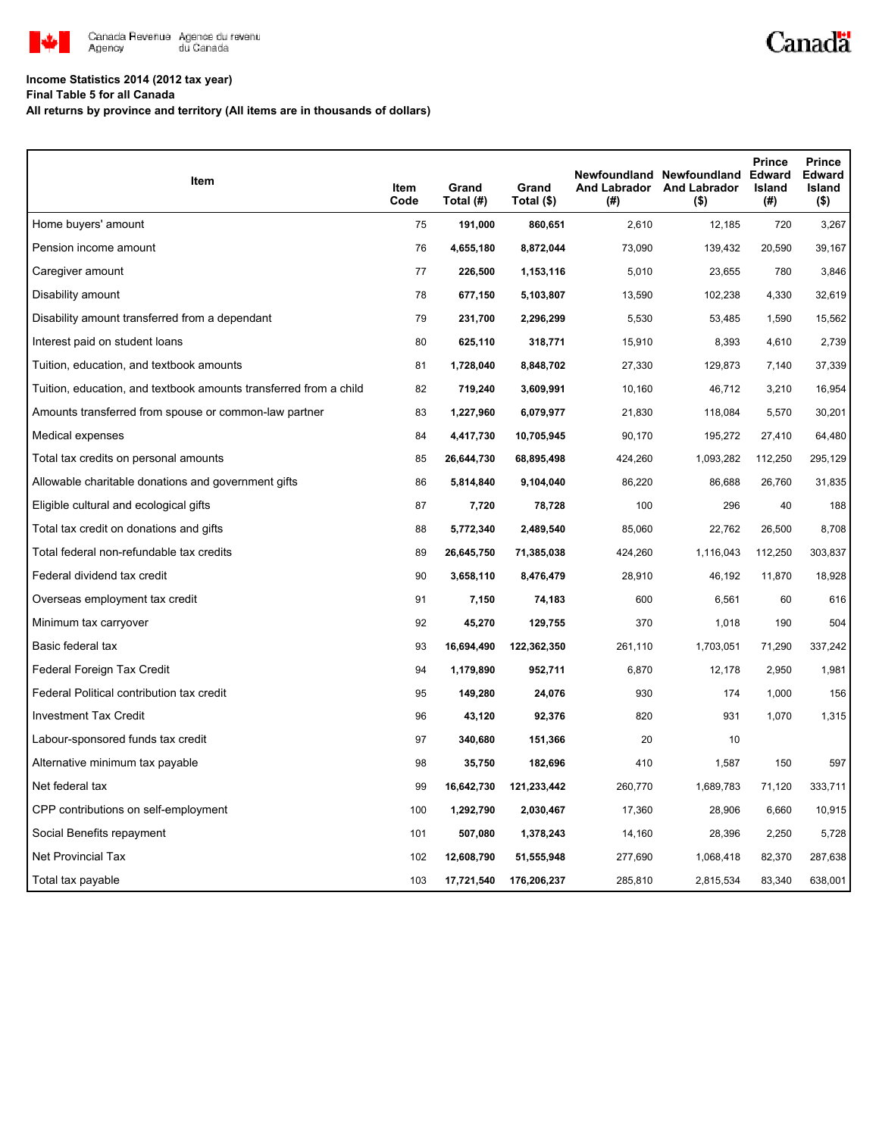

## **Income Statistics 2014 (2012 tax year)**

**Final Table 5 for all Canada**

**All returns by province and territory (All items are in thousands of dollars)**

| Item                                                              | Item<br>Code | Grand<br>Total (#) | Grand<br>Total (\$) | (#)     | Newfoundland Newfoundland Edward<br>And Labrador And Labrador<br>$($ \$) | <b>Prince</b><br>Island<br>(#) | <b>Prince</b><br><b>Edward</b><br>Island<br>$($ \$) |
|-------------------------------------------------------------------|--------------|--------------------|---------------------|---------|--------------------------------------------------------------------------|--------------------------------|-----------------------------------------------------|
| Home buyers' amount                                               | 75           | 191,000            | 860,651             | 2,610   | 12,185                                                                   | 720                            | 3,267                                               |
| Pension income amount                                             | 76           | 4,655,180          | 8,872,044           | 73,090  | 139,432                                                                  | 20,590                         | 39,167                                              |
| Caregiver amount                                                  | 77           | 226,500            | 1,153,116           | 5,010   | 23,655                                                                   | 780                            | 3,846                                               |
| Disability amount                                                 | 78           | 677,150            | 5,103,807           | 13,590  | 102,238                                                                  | 4,330                          | 32,619                                              |
| Disability amount transferred from a dependant                    | 79           | 231,700            | 2,296,299           | 5,530   | 53,485                                                                   | 1,590                          | 15,562                                              |
| Interest paid on student loans                                    | 80           | 625,110            | 318,771             | 15,910  | 8,393                                                                    | 4,610                          | 2,739                                               |
| Tuition, education, and textbook amounts                          | 81           | 1,728,040          | 8,848,702           | 27,330  | 129,873                                                                  | 7,140                          | 37,339                                              |
| Tuition, education, and textbook amounts transferred from a child | 82           | 719,240            | 3,609,991           | 10,160  | 46,712                                                                   | 3,210                          | 16,954                                              |
| Amounts transferred from spouse or common-law partner             | 83           | 1,227,960          | 6,079,977           | 21,830  | 118,084                                                                  | 5,570                          | 30,201                                              |
| Medical expenses                                                  | 84           | 4,417,730          | 10,705,945          | 90,170  | 195,272                                                                  | 27,410                         | 64,480                                              |
| Total tax credits on personal amounts                             | 85           | 26,644,730         | 68,895,498          | 424,260 | 1,093,282                                                                | 112,250                        | 295,129                                             |
| Allowable charitable donations and government gifts               | 86           | 5,814,840          | 9,104,040           | 86,220  | 86,688                                                                   | 26,760                         | 31,835                                              |
| Eligible cultural and ecological gifts                            | 87           | 7,720              | 78,728              | 100     | 296                                                                      | 40                             | 188                                                 |
| Total tax credit on donations and gifts                           | 88           | 5,772,340          | 2,489,540           | 85,060  | 22,762                                                                   | 26,500                         | 8,708                                               |
| Total federal non-refundable tax credits                          | 89           | 26,645,750         | 71,385,038          | 424,260 | 1,116,043                                                                | 112,250                        | 303,837                                             |
| Federal dividend tax credit                                       | 90           | 3,658,110          | 8,476,479           | 28,910  | 46,192                                                                   | 11,870                         | 18,928                                              |
| Overseas employment tax credit                                    | 91           | 7,150              | 74,183              | 600     | 6,561                                                                    | 60                             | 616                                                 |
| Minimum tax carryover                                             | 92           | 45,270             | 129,755             | 370     | 1,018                                                                    | 190                            | 504                                                 |
| Basic federal tax                                                 | 93           | 16,694,490         | 122,362,350         | 261,110 | 1,703,051                                                                | 71,290                         | 337,242                                             |
| Federal Foreign Tax Credit                                        | 94           | 1,179,890          | 952,711             | 6,870   | 12,178                                                                   | 2,950                          | 1,981                                               |
| Federal Political contribution tax credit                         | 95           | 149,280            | 24,076              | 930     | 174                                                                      | 1,000                          | 156                                                 |
| <b>Investment Tax Credit</b>                                      | 96           | 43,120             | 92,376              | 820     | 931                                                                      | 1,070                          | 1,315                                               |
| Labour-sponsored funds tax credit                                 | 97           | 340,680            | 151,366             | 20      | 10                                                                       |                                |                                                     |
| Alternative minimum tax payable                                   | 98           | 35,750             | 182,696             | 410     | 1,587                                                                    | 150                            | 597                                                 |
| Net federal tax                                                   | 99           | 16,642,730         | 121,233,442         | 260,770 | 1,689,783                                                                | 71,120                         | 333,711                                             |
| CPP contributions on self-employment                              | 100          | 1,292,790          | 2,030,467           | 17,360  | 28,906                                                                   | 6,660                          | 10,915                                              |
| Social Benefits repayment                                         | 101          | 507,080            | 1,378,243           | 14,160  | 28,396                                                                   | 2,250                          | 5,728                                               |
| Net Provincial Tax                                                | 102          | 12,608,790         | 51,555,948          | 277,690 | 1,068,418                                                                | 82,370                         | 287,638                                             |
| Total tax payable                                                 | 103          | 17,721,540         | 176,206,237         | 285,810 | 2,815,534                                                                | 83,340                         | 638,001                                             |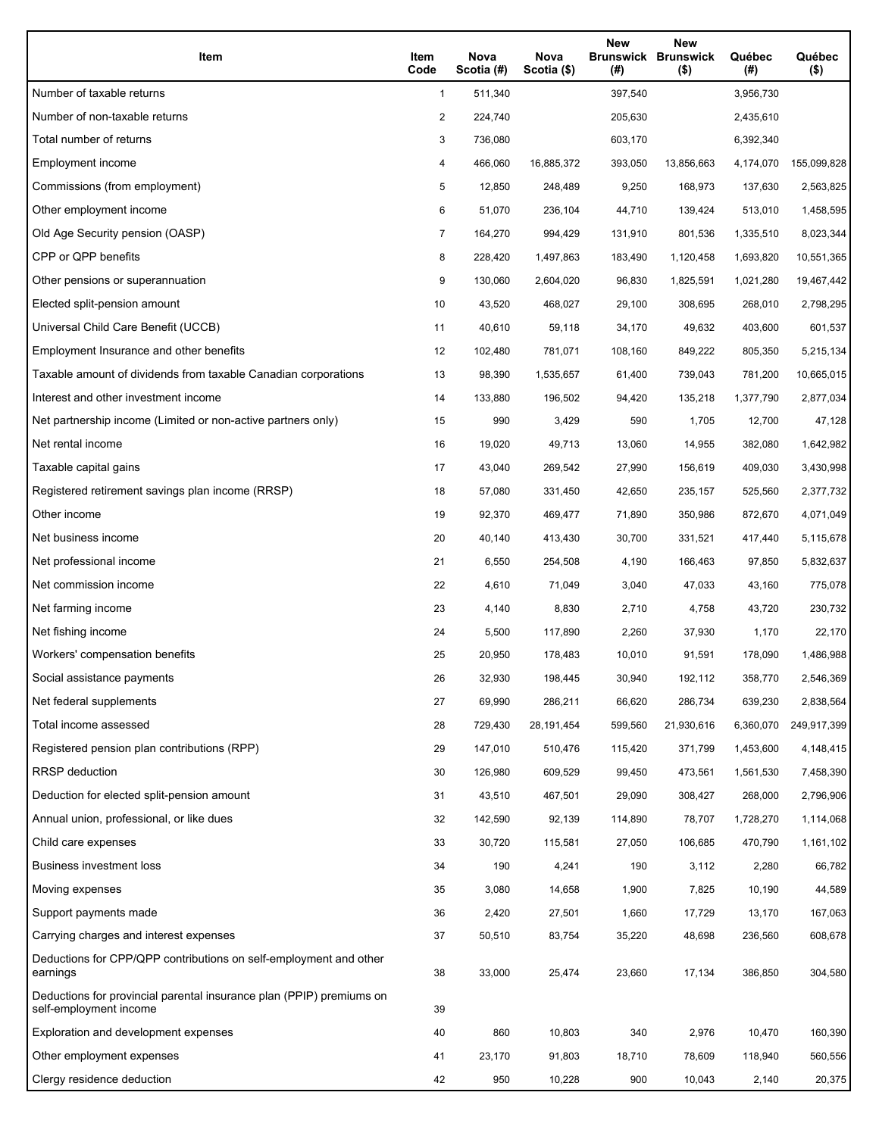| Item                                                                                           | Item<br>Code   | Nova<br>Scotia (#) | Nova<br>Scotia (\$) | <b>New</b><br>(#) | <b>New</b><br><b>Brunswick Brunswick</b><br>$($ \$) | Québec<br>(#) | Québec<br>$($ \$) |
|------------------------------------------------------------------------------------------------|----------------|--------------------|---------------------|-------------------|-----------------------------------------------------|---------------|-------------------|
| Number of taxable returns                                                                      | 1              | 511,340            |                     | 397,540           |                                                     | 3,956,730     |                   |
| Number of non-taxable returns                                                                  | 2              | 224,740            |                     | 205,630           |                                                     | 2,435,610     |                   |
| Total number of returns                                                                        | 3              | 736,080            |                     | 603,170           |                                                     | 6,392,340     |                   |
| Employment income                                                                              | 4              | 466,060            | 16,885,372          | 393,050           | 13,856,663                                          | 4,174,070     | 155,099,828       |
| Commissions (from employment)                                                                  | 5              | 12,850             | 248,489             | 9,250             | 168,973                                             | 137,630       | 2,563,825         |
| Other employment income                                                                        | 6              | 51,070             | 236,104             | 44,710            | 139,424                                             | 513,010       | 1,458,595         |
| Old Age Security pension (OASP)                                                                | $\overline{7}$ | 164,270            | 994,429             | 131,910           | 801,536                                             | 1,335,510     | 8,023,344         |
| CPP or QPP benefits                                                                            | 8              | 228,420            | 1,497,863           | 183,490           | 1,120,458                                           | 1,693,820     | 10,551,365        |
| Other pensions or superannuation                                                               | 9              | 130,060            | 2,604,020           | 96,830            | 1,825,591                                           | 1,021,280     | 19,467,442        |
| Elected split-pension amount                                                                   | 10             | 43,520             | 468,027             | 29,100            | 308,695                                             | 268,010       | 2,798,295         |
| Universal Child Care Benefit (UCCB)                                                            | 11             | 40,610             | 59,118              | 34,170            | 49,632                                              | 403,600       | 601,537           |
| Employment Insurance and other benefits                                                        | 12             | 102,480            | 781,071             | 108,160           | 849,222                                             | 805,350       | 5,215,134         |
| Taxable amount of dividends from taxable Canadian corporations                                 | 13             | 98,390             | 1,535,657           | 61,400            | 739,043                                             | 781,200       | 10,665,015        |
| Interest and other investment income                                                           | 14             | 133,880            | 196,502             | 94,420            | 135,218                                             | 1,377,790     | 2,877,034         |
| Net partnership income (Limited or non-active partners only)                                   | 15             | 990                | 3,429               | 590               | 1,705                                               | 12,700        | 47,128            |
| Net rental income                                                                              | 16             | 19,020             | 49,713              | 13,060            | 14,955                                              | 382,080       | 1,642,982         |
| Taxable capital gains                                                                          | 17             | 43,040             | 269,542             | 27,990            | 156,619                                             | 409,030       | 3,430,998         |
| Registered retirement savings plan income (RRSP)                                               | 18             | 57,080             | 331,450             | 42,650            | 235,157                                             | 525,560       | 2,377,732         |
| Other income                                                                                   | 19             | 92,370             | 469,477             | 71,890            | 350,986                                             | 872,670       | 4,071,049         |
| Net business income                                                                            | 20             | 40,140             | 413,430             | 30,700            | 331,521                                             | 417,440       | 5,115,678         |
| Net professional income                                                                        | 21             | 6,550              | 254,508             | 4,190             | 166,463                                             | 97,850        | 5,832,637         |
| Net commission income                                                                          | 22             | 4,610              | 71,049              | 3,040             | 47,033                                              | 43,160        | 775,078           |
| Net farming income                                                                             | 23             | 4,140              | 8,830               | 2,710             | 4,758                                               | 43,720        | 230,732           |
| Net fishing income                                                                             | 24             | 5,500              | 117,890             | 2,260             | 37,930                                              | 1,170         | 22,170            |
| Workers' compensation benefits                                                                 | 25             | 20,950             | 178,483             | 10,010            | 91,591                                              | 178,090       | 1,486,988         |
| Social assistance payments                                                                     | 26             | 32,930             | 198,445             | 30,940            | 192,112                                             | 358,770       | 2,546,369         |
| Net federal supplements                                                                        | 27             | 69,990             | 286,211             | 66,620            | 286,734                                             | 639,230       | 2,838,564         |
| Total income assessed                                                                          | 28             | 729,430            | 28,191,454          | 599,560           | 21,930,616                                          | 6,360,070     | 249,917,399       |
| Registered pension plan contributions (RPP)                                                    | 29             | 147,010            | 510,476             | 115,420           | 371,799                                             | 1,453,600     | 4,148,415         |
| <b>RRSP</b> deduction                                                                          | 30             | 126,980            | 609,529             | 99,450            | 473,561                                             | 1,561,530     | 7,458,390         |
| Deduction for elected split-pension amount                                                     | 31             | 43,510             | 467,501             | 29,090            | 308,427                                             | 268,000       | 2,796,906         |
| Annual union, professional, or like dues                                                       | 32             | 142,590            | 92,139              | 114,890           | 78,707                                              | 1,728,270     | 1,114,068         |
| Child care expenses                                                                            | 33             | 30,720             | 115,581             | 27,050            | 106,685                                             | 470,790       | 1,161,102         |
| <b>Business investment loss</b>                                                                | 34             | 190                | 4,241               | 190               | 3,112                                               | 2,280         | 66,782            |
| Moving expenses                                                                                | 35             | 3,080              | 14,658              | 1,900             | 7,825                                               | 10,190        | 44,589            |
| Support payments made                                                                          | 36             | 2,420              | 27,501              | 1,660             | 17,729                                              | 13,170        | 167,063           |
| Carrying charges and interest expenses                                                         | 37             | 50,510             | 83,754              | 35,220            | 48,698                                              | 236,560       | 608,678           |
| Deductions for CPP/QPP contributions on self-employment and other<br>earnings                  | 38             | 33,000             | 25,474              | 23,660            | 17,134                                              | 386,850       | 304,580           |
| Deductions for provincial parental insurance plan (PPIP) premiums on<br>self-employment income | 39             |                    |                     |                   |                                                     |               |                   |
| Exploration and development expenses                                                           | 40             | 860                | 10,803              | 340               | 2,976                                               | 10,470        | 160,390           |
| Other employment expenses                                                                      | 41             | 23,170             | 91,803              | 18,710            | 78,609                                              | 118,940       | 560,556           |
| Clergy residence deduction                                                                     | 42             | 950                | 10,228              | 900               | 10,043                                              | 2,140         | 20,375            |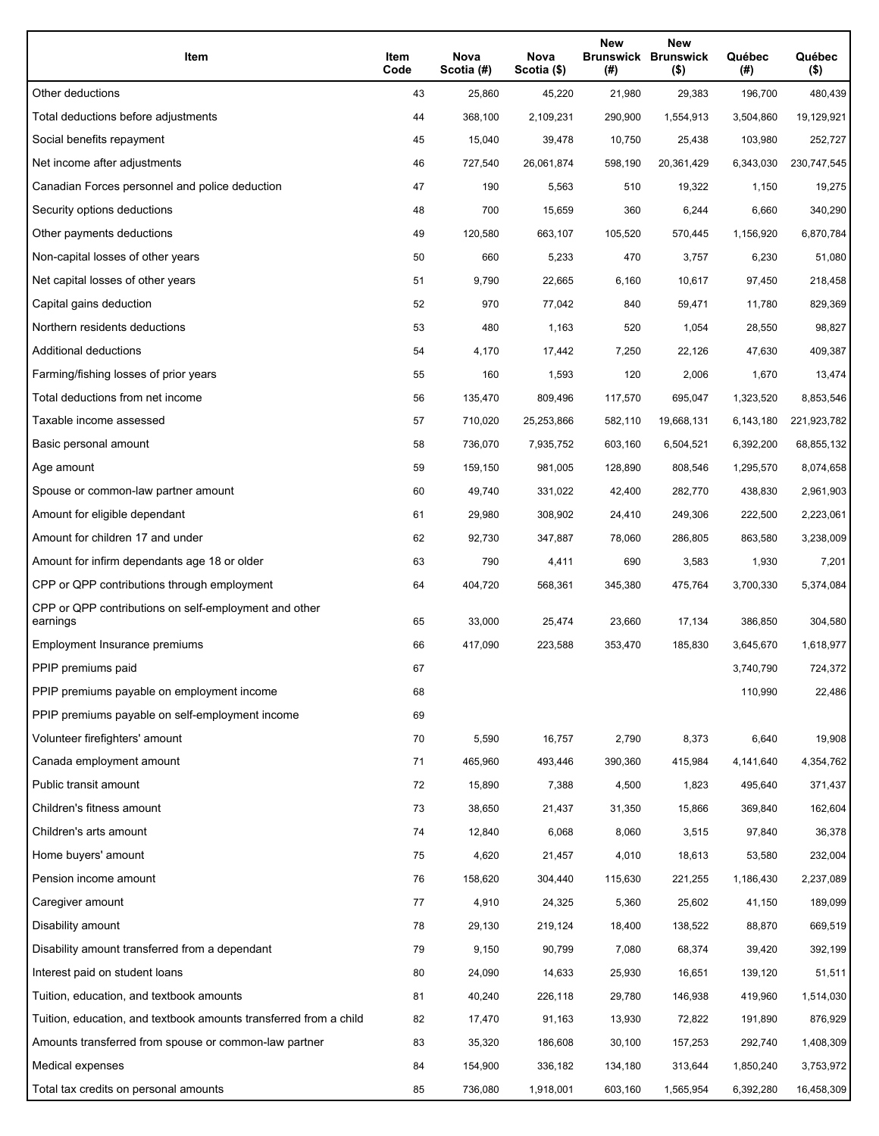| Item                                                              | Item<br>Code | Nova<br>Scotia (#) | Nova<br>Scotia (\$) | <b>New</b><br>(#) | <b>New</b><br><b>Brunswick Brunswick</b><br>$($ \$) | Québec<br>(#) | Québec<br>$($ \$) |
|-------------------------------------------------------------------|--------------|--------------------|---------------------|-------------------|-----------------------------------------------------|---------------|-------------------|
| Other deductions                                                  | 43           | 25,860             | 45,220              | 21,980            | 29,383                                              | 196,700       | 480,439           |
| Total deductions before adjustments                               | 44           | 368,100            | 2,109,231           | 290,900           | 1,554,913                                           | 3,504,860     | 19,129,921        |
| Social benefits repayment                                         | 45           | 15,040             | 39,478              | 10,750            | 25,438                                              | 103,980       | 252,727           |
| Net income after adjustments                                      | 46           | 727,540            | 26,061,874          | 598,190           | 20,361,429                                          | 6,343,030     | 230,747,545       |
| Canadian Forces personnel and police deduction                    | 47           | 190                | 5,563               | 510               | 19,322                                              | 1,150         | 19,275            |
| Security options deductions                                       | 48           | 700                | 15,659              | 360               | 6,244                                               | 6,660         | 340,290           |
| Other payments deductions                                         | 49           | 120,580            | 663,107             | 105,520           | 570,445                                             | 1,156,920     | 6,870,784         |
| Non-capital losses of other years                                 | 50           | 660                | 5,233               | 470               | 3,757                                               | 6,230         | 51,080            |
| Net capital losses of other years                                 | 51           | 9,790              | 22,665              | 6,160             | 10,617                                              | 97,450        | 218,458           |
| Capital gains deduction                                           | 52           | 970                | 77,042              | 840               | 59,471                                              | 11,780        | 829,369           |
| Northern residents deductions                                     | 53           | 480                | 1,163               | 520               | 1,054                                               | 28,550        | 98,827            |
| Additional deductions                                             | 54           | 4,170              | 17,442              | 7,250             | 22,126                                              | 47,630        | 409,387           |
| Farming/fishing losses of prior years                             | 55           | 160                | 1,593               | 120               | 2,006                                               | 1,670         | 13,474            |
| Total deductions from net income                                  | 56           | 135,470            | 809,496             | 117,570           | 695.047                                             | 1,323,520     | 8,853,546         |
| Taxable income assessed                                           | 57           | 710,020            | 25,253,866          | 582,110           | 19,668,131                                          | 6,143,180     | 221,923,782       |
| Basic personal amount                                             | 58           | 736,070            | 7,935,752           | 603,160           | 6,504,521                                           | 6,392,200     | 68,855,132        |
| Age amount                                                        | 59           | 159,150            | 981,005             | 128,890           | 808,546                                             | 1,295,570     | 8,074,658         |
| Spouse or common-law partner amount                               | 60           | 49,740             | 331,022             | 42,400            | 282,770                                             | 438,830       | 2,961,903         |
| Amount for eligible dependant                                     | 61           | 29,980             | 308,902             | 24,410            | 249,306                                             | 222,500       | 2,223,061         |
| Amount for children 17 and under                                  | 62           | 92,730             | 347,887             | 78,060            | 286,805                                             | 863,580       | 3,238,009         |
| Amount for infirm dependants age 18 or older                      | 63           | 790                | 4,411               | 690               | 3,583                                               | 1,930         | 7,201             |
| CPP or QPP contributions through employment                       | 64           | 404,720            | 568,361             | 345,380           | 475,764                                             | 3,700,330     | 5,374,084         |
| CPP or QPP contributions on self-employment and other<br>earnings | 65           | 33,000             | 25,474              | 23,660            | 17,134                                              | 386,850       | 304,580           |
| Employment Insurance premiums                                     | 66           | 417,090            | 223,588             | 353,470           | 185,830                                             | 3,645,670     | 1,618,977         |
| PPIP premiums paid                                                | 67           |                    |                     |                   |                                                     | 3,740,790     | 724,372           |
| PPIP premiums payable on employment income                        | 68           |                    |                     |                   |                                                     | 110,990       | 22,486            |
| PPIP premiums payable on self-employment income                   | 69           |                    |                     |                   |                                                     |               |                   |
| Volunteer firefighters' amount                                    | 70           | 5,590              | 16,757              | 2,790             | 8,373                                               | 6,640         | 19,908            |
| Canada employment amount                                          | 71           | 465,960            | 493,446             | 390,360           | 415,984                                             | 4,141,640     | 4,354,762         |
| Public transit amount                                             | 72           | 15,890             | 7,388               | 4,500             | 1,823                                               | 495,640       | 371,437           |
| Children's fitness amount                                         | 73           | 38,650             | 21,437              | 31,350            | 15,866                                              | 369,840       | 162,604           |
| Children's arts amount                                            | 74           | 12,840             | 6,068               | 8,060             | 3,515                                               | 97,840        | 36,378            |
| Home buyers' amount                                               | 75           | 4,620              | 21,457              | 4,010             | 18,613                                              | 53,580        | 232,004           |
| Pension income amount                                             | 76           | 158,620            | 304,440             | 115,630           | 221,255                                             | 1,186,430     | 2,237,089         |
| Caregiver amount                                                  | 77           | 4,910              | 24,325              | 5,360             | 25,602                                              | 41,150        | 189,099           |
| Disability amount                                                 | 78           | 29,130             | 219,124             | 18,400            | 138,522                                             | 88,870        | 669,519           |
| Disability amount transferred from a dependant                    | 79           | 9,150              | 90,799              | 7,080             | 68,374                                              | 39,420        | 392,199           |
| Interest paid on student loans                                    | 80           | 24,090             | 14,633              | 25,930            | 16,651                                              | 139,120       | 51,511            |
| Tuition, education, and textbook amounts                          | 81           | 40,240             | 226,118             | 29,780            | 146,938                                             | 419,960       | 1,514,030         |
| Tuition, education, and textbook amounts transferred from a child | 82           | 17,470             | 91,163              | 13,930            | 72,822                                              | 191,890       | 876,929           |
| Amounts transferred from spouse or common-law partner             | 83           | 35,320             | 186,608             | 30,100            | 157,253                                             | 292,740       | 1,408,309         |
| Medical expenses                                                  | 84           | 154,900            | 336,182             | 134,180           | 313,644                                             | 1,850,240     | 3,753,972         |
| Total tax credits on personal amounts                             | 85           | 736,080            | 1,918,001           | 603,160           | 1,565,954                                           | 6,392,280     | 16,458,309        |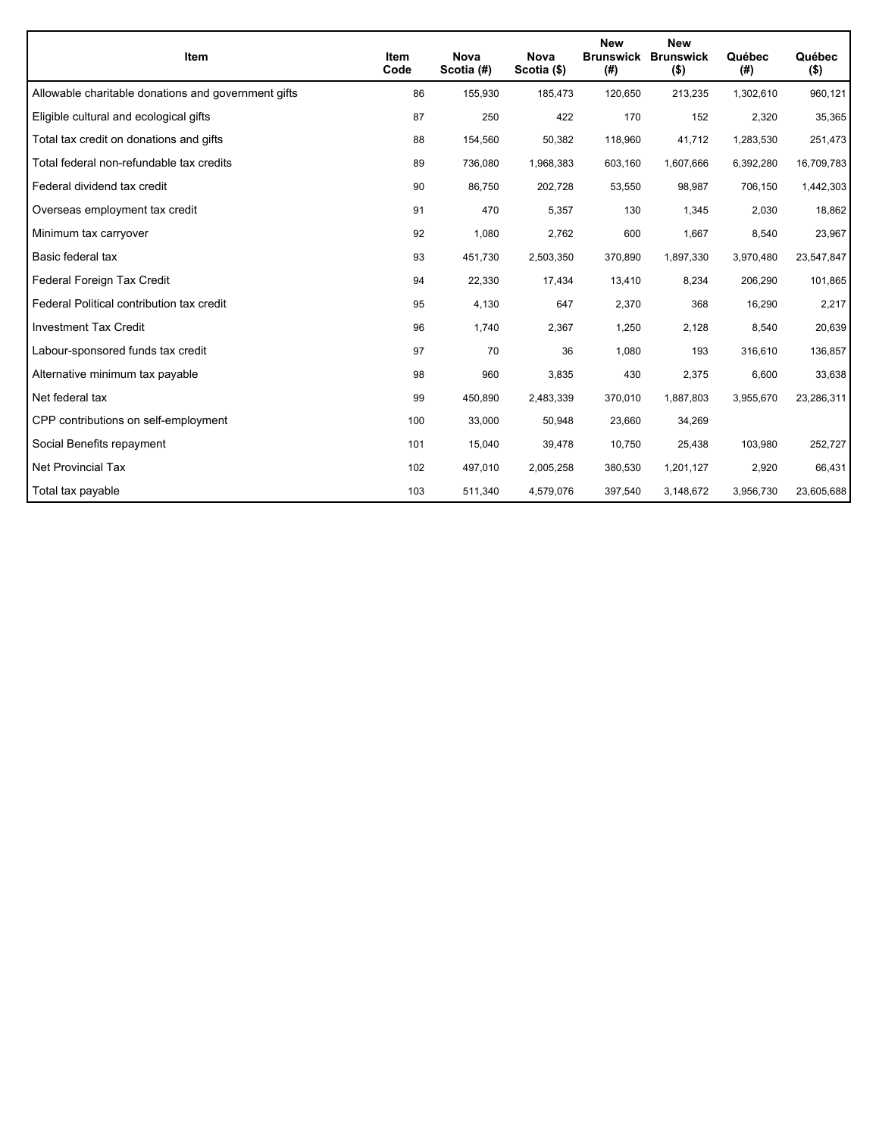| <b>Item</b>                                         | <b>Item</b><br>Code | <b>Nova</b><br>Scotia (#) | <b>Nova</b><br>Scotia (\$) | <b>New</b><br><b>Brunswick</b><br>(#) | <b>New</b><br><b>Brunswick</b><br>$($ \$) | Québec<br>(#) | Québec<br>$($ \$) |
|-----------------------------------------------------|---------------------|---------------------------|----------------------------|---------------------------------------|-------------------------------------------|---------------|-------------------|
| Allowable charitable donations and government gifts | 86                  | 155,930                   | 185,473                    | 120,650                               | 213,235                                   | 1,302,610     | 960,121           |
| Eligible cultural and ecological gifts              | 87                  | 250                       | 422                        | 170                                   | 152                                       | 2,320         | 35,365            |
| Total tax credit on donations and gifts             | 88                  | 154,560                   | 50,382                     | 118,960                               | 41,712                                    | 1,283,530     | 251,473           |
| Total federal non-refundable tax credits            | 89                  | 736,080                   | 1,968,383                  | 603,160                               | 1,607,666                                 | 6,392,280     | 16,709,783        |
| Federal dividend tax credit                         | 90                  | 86,750                    | 202,728                    | 53,550                                | 98,987                                    | 706,150       | 1,442,303         |
| Overseas employment tax credit                      | 91                  | 470                       | 5,357                      | 130                                   | 1,345                                     | 2,030         | 18,862            |
| Minimum tax carryover                               | 92                  | 1,080                     | 2,762                      | 600                                   | 1,667                                     | 8,540         | 23,967            |
| Basic federal tax                                   | 93                  | 451,730                   | 2,503,350                  | 370,890                               | 1,897,330                                 | 3,970,480     | 23,547,847        |
| Federal Foreign Tax Credit                          | 94                  | 22,330                    | 17,434                     | 13,410                                | 8,234                                     | 206,290       | 101,865           |
| Federal Political contribution tax credit           | 95                  | 4,130                     | 647                        | 2,370                                 | 368                                       | 16,290        | 2,217             |
| <b>Investment Tax Credit</b>                        | 96                  | 1,740                     | 2,367                      | 1,250                                 | 2,128                                     | 8,540         | 20,639            |
| Labour-sponsored funds tax credit                   | 97                  | 70                        | 36                         | 1,080                                 | 193                                       | 316,610       | 136,857           |
| Alternative minimum tax payable                     | 98                  | 960                       | 3,835                      | 430                                   | 2,375                                     | 6,600         | 33,638            |
| Net federal tax                                     | 99                  | 450,890                   | 2,483,339                  | 370,010                               | 1,887,803                                 | 3,955,670     | 23,286,311        |
| CPP contributions on self-employment                | 100                 | 33,000                    | 50,948                     | 23,660                                | 34,269                                    |               |                   |
| Social Benefits repayment                           | 101                 | 15,040                    | 39,478                     | 10,750                                | 25,438                                    | 103,980       | 252,727           |
| <b>Net Provincial Tax</b>                           | 102                 | 497,010                   | 2,005,258                  | 380,530                               | 1,201,127                                 | 2,920         | 66,431            |
| Total tax payable                                   | 103                 | 511,340                   | 4,579,076                  | 397,540                               | 3,148,672                                 | 3,956,730     | 23,605,688        |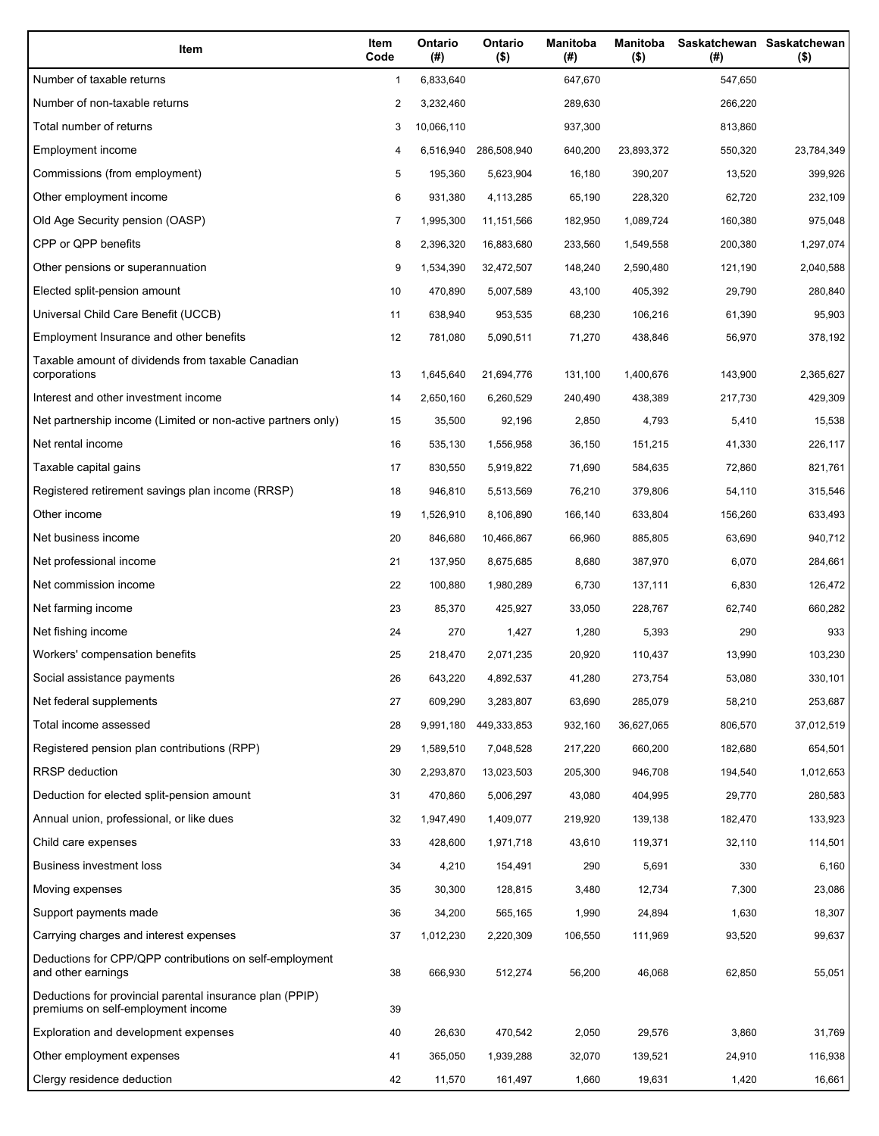| Item                                                                                           | Item<br>Code | Ontario<br>(#) | Ontario<br>$($ \$) | <b>Manitoba</b><br>(#) | Manitoba<br>(\$) | (# )    | Saskatchewan Saskatchewan<br>$($ \$) |
|------------------------------------------------------------------------------------------------|--------------|----------------|--------------------|------------------------|------------------|---------|--------------------------------------|
| Number of taxable returns                                                                      | 1            | 6,833,640      |                    | 647,670                |                  | 547,650 |                                      |
| Number of non-taxable returns                                                                  | 2            | 3,232,460      |                    | 289,630                |                  | 266,220 |                                      |
| Total number of returns                                                                        | 3            | 10,066,110     |                    | 937,300                |                  | 813,860 |                                      |
| Employment income                                                                              | 4            | 6,516,940      | 286,508,940        | 640,200                | 23,893,372       | 550,320 | 23,784,349                           |
| Commissions (from employment)                                                                  | 5            | 195,360        | 5,623,904          | 16,180                 | 390,207          | 13,520  | 399,926                              |
| Other employment income                                                                        | 6            | 931,380        | 4,113,285          | 65,190                 | 228,320          | 62,720  | 232,109                              |
| Old Age Security pension (OASP)                                                                | 7            | 1,995,300      | 11,151,566         | 182,950                | 1,089,724        | 160,380 | 975,048                              |
| CPP or QPP benefits                                                                            | 8            | 2,396,320      | 16,883,680         | 233,560                | 1,549,558        | 200,380 | 1,297,074                            |
| Other pensions or superannuation                                                               | 9            | 1,534,390      | 32,472,507         | 148,240                | 2,590,480        | 121,190 | 2,040,588                            |
| Elected split-pension amount                                                                   | 10           | 470,890        | 5,007,589          | 43,100                 | 405,392          | 29,790  | 280,840                              |
| Universal Child Care Benefit (UCCB)                                                            | 11           | 638,940        | 953,535            | 68,230                 | 106,216          | 61,390  | 95,903                               |
| Employment Insurance and other benefits                                                        | 12           | 781,080        | 5,090,511          | 71,270                 | 438,846          | 56,970  | 378,192                              |
| Taxable amount of dividends from taxable Canadian<br>corporations                              | 13           | 1,645,640      | 21,694,776         | 131,100                | 1,400,676        | 143,900 | 2,365,627                            |
| Interest and other investment income                                                           | 14           | 2,650,160      | 6,260,529          | 240,490                | 438,389          | 217,730 | 429,309                              |
| Net partnership income (Limited or non-active partners only)                                   | 15           | 35,500         | 92,196             | 2,850                  | 4,793            | 5,410   | 15,538                               |
| Net rental income                                                                              | 16           | 535,130        | 1,556,958          | 36,150                 | 151,215          | 41,330  | 226,117                              |
| Taxable capital gains                                                                          | 17           | 830,550        | 5,919,822          | 71,690                 | 584,635          | 72,860  | 821,761                              |
| Registered retirement savings plan income (RRSP)                                               | 18           | 946,810        | 5,513,569          | 76,210                 | 379,806          | 54,110  | 315,546                              |
| Other income                                                                                   | 19           | 1,526,910      | 8,106,890          | 166,140                | 633,804          | 156,260 | 633,493                              |
| Net business income                                                                            | 20           | 846,680        | 10,466,867         | 66,960                 | 885,805          | 63,690  | 940,712                              |
| Net professional income                                                                        | 21           | 137,950        | 8,675,685          | 8,680                  | 387,970          | 6,070   | 284,661                              |
| Net commission income                                                                          | 22           | 100,880        | 1,980,289          | 6,730                  | 137,111          | 6,830   | 126,472                              |
| Net farming income                                                                             | 23           | 85,370         | 425,927            | 33,050                 | 228,767          | 62,740  | 660,282                              |
| Net fishing income                                                                             | 24           | 270            | 1,427              | 1,280                  | 5,393            | 290     | 933                                  |
| Workers' compensation benefits                                                                 | 25           | 218,470        | 2,071,235          | 20,920                 | 110,437          | 13,990  | 103,230                              |
| Social assistance payments                                                                     | 26           | 643,220        | 4,892,537          | 41,280                 | 273,754          | 53,080  | 330,101                              |
| Net federal supplements                                                                        | 27           | 609,290        | 3,283,807          | 63,690                 | 285,079          | 58,210  | 253,687                              |
| Total income assessed                                                                          | 28           | 9,991,180      | 449,333,853        | 932,160                | 36,627,065       | 806,570 | 37,012,519                           |
| Registered pension plan contributions (RPP)                                                    | 29           | 1,589,510      | 7,048,528          | 217,220                | 660,200          | 182,680 | 654,501                              |
| RRSP deduction                                                                                 | 30           | 2,293,870      | 13,023,503         | 205,300                | 946,708          | 194,540 | 1,012,653                            |
| Deduction for elected split-pension amount                                                     | 31           | 470,860        | 5,006,297          | 43,080                 | 404,995          | 29,770  | 280,583                              |
| Annual union, professional, or like dues                                                       | 32           | 1,947,490      | 1,409,077          | 219,920                | 139,138          | 182,470 | 133,923                              |
| Child care expenses                                                                            | 33           | 428,600        | 1,971,718          | 43,610                 | 119,371          | 32,110  | 114,501                              |
| Business investment loss                                                                       | 34           | 4,210          | 154,491            | 290                    | 5,691            | 330     | 6,160                                |
| Moving expenses                                                                                | 35           | 30,300         | 128,815            | 3,480                  | 12,734           | 7,300   | 23,086                               |
| Support payments made                                                                          | 36           | 34,200         | 565,165            | 1,990                  | 24,894           | 1,630   | 18,307                               |
| Carrying charges and interest expenses                                                         | 37           | 1,012,230      | 2,220,309          | 106,550                | 111,969          | 93,520  | 99,637                               |
| Deductions for CPP/QPP contributions on self-employment<br>and other earnings                  | 38           | 666,930        | 512,274            | 56,200                 | 46,068           | 62,850  | 55,051                               |
| Deductions for provincial parental insurance plan (PPIP)<br>premiums on self-employment income | 39           |                |                    |                        |                  |         |                                      |
| Exploration and development expenses                                                           | 40           | 26,630         | 470,542            | 2,050                  | 29,576           | 3,860   | 31,769                               |
| Other employment expenses                                                                      | 41           | 365,050        | 1,939,288          | 32,070                 | 139,521          | 24,910  | 116,938                              |
| Clergy residence deduction                                                                     | 42           | 11,570         | 161,497            | 1,660                  | 19,631           | 1,420   | 16,661                               |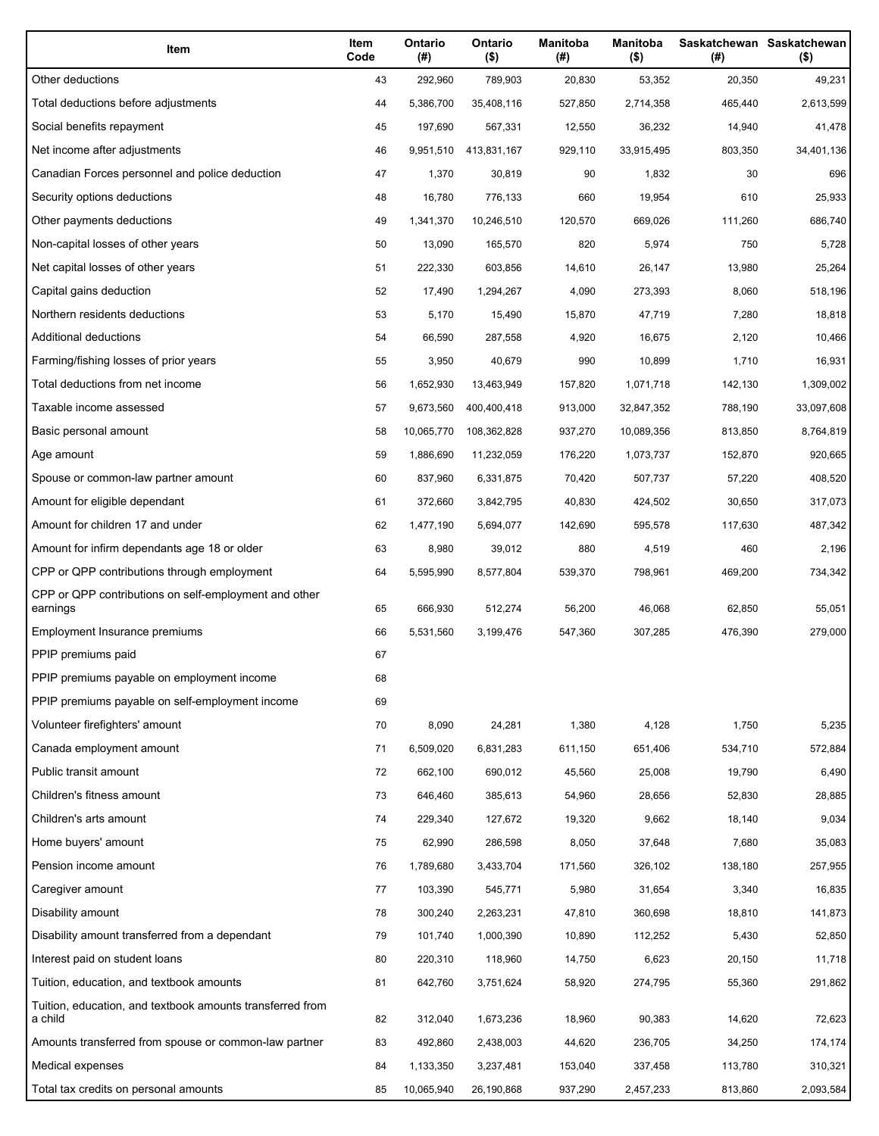| Item                                                                 | Item<br>Code | Ontario<br>(#) | Ontario<br>$($ \$) | <b>Manitoba</b><br>(#) | <b>Manitoba</b><br>$($ \$) | (#)     | Saskatchewan Saskatchewan<br>$($ \$) |
|----------------------------------------------------------------------|--------------|----------------|--------------------|------------------------|----------------------------|---------|--------------------------------------|
| Other deductions                                                     | 43           | 292,960        | 789,903            | 20,830                 | 53,352                     | 20,350  | 49,231                               |
| Total deductions before adjustments                                  | 44           | 5,386,700      | 35,408,116         | 527,850                | 2,714,358                  | 465,440 | 2,613,599                            |
| Social benefits repayment                                            | 45           | 197,690        | 567,331            | 12,550                 | 36,232                     | 14,940  | 41,478                               |
| Net income after adjustments                                         | 46           | 9,951,510      | 413,831,167        | 929,110                | 33,915,495                 | 803,350 | 34,401,136                           |
| Canadian Forces personnel and police deduction                       | 47           | 1,370          | 30,819             | 90                     | 1,832                      | 30      | 696                                  |
| Security options deductions                                          | 48           | 16,780         | 776,133            | 660                    | 19,954                     | 610     | 25,933                               |
| Other payments deductions                                            | 49           | 1,341,370      | 10,246,510         | 120,570                | 669,026                    | 111,260 | 686,740                              |
| Non-capital losses of other years                                    | 50           | 13,090         | 165,570            | 820                    | 5,974                      | 750     | 5,728                                |
| Net capital losses of other years                                    | 51           | 222,330        | 603,856            | 14,610                 | 26,147                     | 13,980  | 25,264                               |
| Capital gains deduction                                              | 52           | 17,490         | 1,294,267          | 4,090                  | 273,393                    | 8,060   | 518,196                              |
| Northern residents deductions                                        | 53           | 5,170          | 15,490             | 15,870                 | 47,719                     | 7,280   | 18,818                               |
| Additional deductions                                                | 54           | 66,590         | 287,558            | 4,920                  | 16,675                     | 2,120   | 10,466                               |
| Farming/fishing losses of prior years                                | 55           | 3,950          | 40,679             | 990                    | 10,899                     | 1,710   | 16,931                               |
| Total deductions from net income                                     | 56           | 1,652,930      | 13,463,949         | 157,820                | 1,071,718                  | 142,130 | 1,309,002                            |
| Taxable income assessed                                              | 57           | 9,673,560      | 400,400,418        | 913,000                | 32,847,352                 | 788,190 | 33,097,608                           |
| Basic personal amount                                                | 58           | 10,065,770     | 108,362,828        | 937,270                | 10,089,356                 | 813,850 | 8,764,819                            |
| Age amount                                                           | 59           | 1,886,690      | 11,232,059         | 176,220                | 1,073,737                  | 152,870 | 920,665                              |
| Spouse or common-law partner amount                                  | 60           | 837,960        | 6,331,875          | 70,420                 | 507,737                    | 57,220  | 408,520                              |
| Amount for eligible dependant                                        | 61           | 372,660        | 3,842,795          | 40,830                 | 424,502                    | 30,650  | 317,073                              |
| Amount for children 17 and under                                     | 62           | 1,477,190      | 5,694,077          | 142,690                | 595,578                    | 117,630 | 487,342                              |
| Amount for infirm dependants age 18 or older                         | 63           | 8,980          | 39,012             | 880                    | 4,519                      | 460     | 2,196                                |
| CPP or QPP contributions through employment                          | 64           | 5,595,990      | 8,577,804          | 539,370                | 798,961                    | 469,200 | 734,342                              |
| CPP or QPP contributions on self-employment and other<br>earnings    | 65           | 666,930        | 512,274            | 56,200                 | 46,068                     | 62,850  | 55,051                               |
| Employment Insurance premiums                                        | 66           | 5,531,560      | 3,199,476          | 547,360                | 307,285                    | 476,390 | 279,000                              |
| PPIP premiums paid                                                   | 67           |                |                    |                        |                            |         |                                      |
| PPIP premiums payable on employment income                           | 68           |                |                    |                        |                            |         |                                      |
| PPIP premiums payable on self-employment income                      | 69           |                |                    |                        |                            |         |                                      |
| Volunteer firefighters' amount                                       | 70           | 8,090          | 24,281             | 1,380                  | 4,128                      | 1,750   | 5,235                                |
| Canada employment amount                                             | 71           | 6,509,020      | 6,831,283          | 611,150                | 651,406                    | 534,710 | 572,884                              |
| Public transit amount                                                | 72           | 662,100        | 690,012            | 45,560                 | 25,008                     | 19,790  | 6,490                                |
| Children's fitness amount                                            | 73           | 646,460        | 385,613            | 54,960                 | 28,656                     | 52,830  | 28,885                               |
| Children's arts amount                                               | 74           | 229,340        | 127,672            | 19,320                 | 9,662                      | 18,140  | 9,034                                |
| Home buyers' amount                                                  | 75           | 62,990         | 286,598            | 8,050                  | 37,648                     | 7,680   | 35,083                               |
| Pension income amount                                                | 76           | 1,789,680      | 3,433,704          | 171,560                | 326,102                    | 138,180 | 257,955                              |
| Caregiver amount                                                     | 77           | 103,390        | 545,771            | 5,980                  | 31,654                     | 3,340   | 16,835                               |
| Disability amount                                                    | 78           | 300,240        | 2,263,231          | 47,810                 | 360,698                    | 18,810  | 141,873                              |
| Disability amount transferred from a dependant                       | 79           | 101,740        | 1,000,390          | 10,890                 | 112,252                    | 5,430   | 52,850                               |
| Interest paid on student loans                                       | 80           | 220,310        | 118,960            | 14,750                 | 6,623                      | 20,150  | 11,718                               |
| Tuition, education, and textbook amounts                             | 81           | 642,760        | 3,751,624          | 58,920                 | 274,795                    | 55,360  | 291,862                              |
| Tuition, education, and textbook amounts transferred from<br>a child | 82           | 312,040        | 1,673,236          | 18,960                 | 90,383                     | 14,620  | 72,623                               |
| Amounts transferred from spouse or common-law partner                | 83           | 492,860        | 2,438,003          | 44,620                 | 236,705                    | 34,250  | 174,174                              |
| Medical expenses                                                     | 84           | 1,133,350      | 3,237,481          | 153,040                | 337,458                    | 113,780 | 310,321                              |
| Total tax credits on personal amounts                                | 85           | 10,065,940     | 26,190,868         | 937,290                | 2,457,233                  | 813,860 | 2,093,584                            |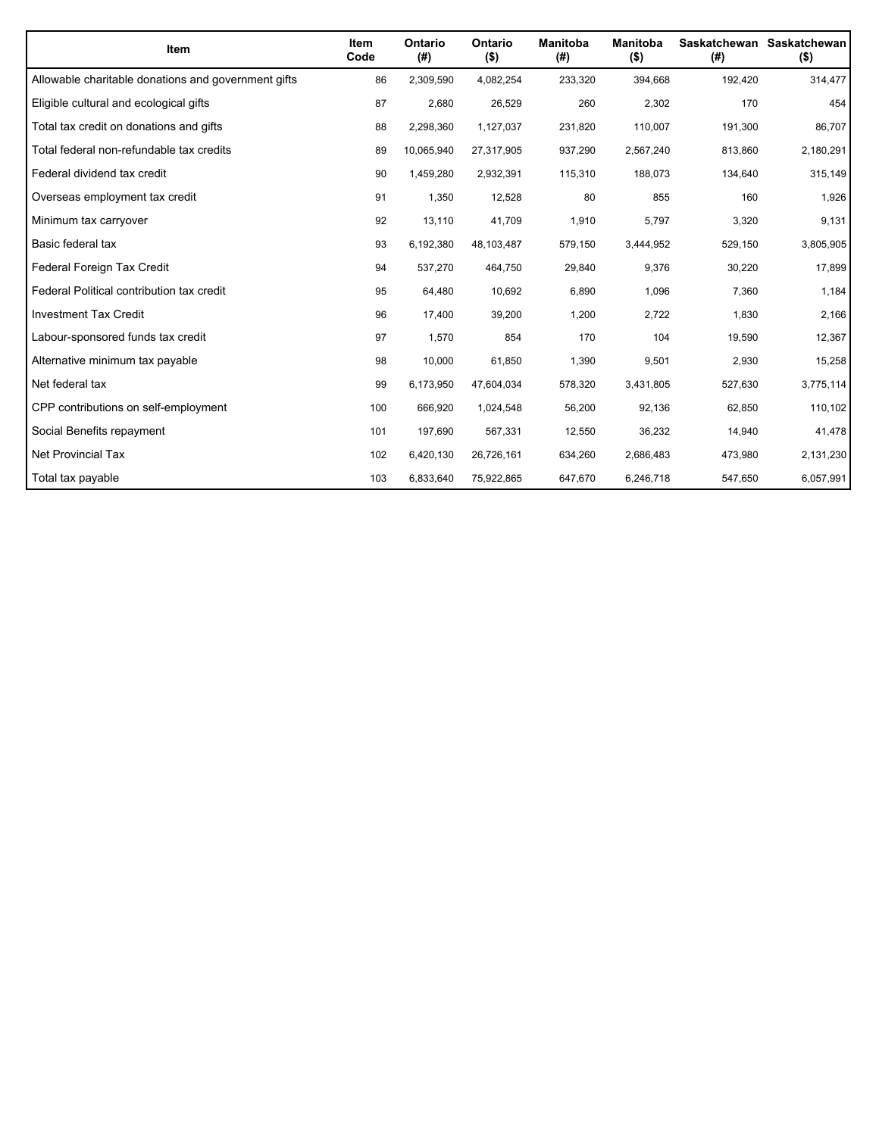| <b>Item</b>                                         | <b>Item</b><br>Code | Ontario<br>(#) | Ontario<br>$($ \$) | <b>Manitoba</b><br>(#) | <b>Manitoba</b><br>$($ \$) | (#)     | Saskatchewan Saskatchewan<br>$($ \$) |
|-----------------------------------------------------|---------------------|----------------|--------------------|------------------------|----------------------------|---------|--------------------------------------|
| Allowable charitable donations and government gifts | 86                  | 2,309,590      | 4,082,254          | 233,320                | 394,668                    | 192,420 | 314,477                              |
| Eligible cultural and ecological gifts              | 87                  | 2,680          | 26,529             | 260                    | 2,302                      | 170     | 454                                  |
| Total tax credit on donations and gifts             | 88                  | 2,298,360      | 1,127,037          | 231,820                | 110,007                    | 191,300 | 86,707                               |
| Total federal non-refundable tax credits            | 89                  | 10,065,940     | 27,317,905         | 937,290                | 2,567,240                  | 813,860 | 2,180,291                            |
| Federal dividend tax credit                         | 90                  | 1,459,280      | 2,932,391          | 115,310                | 188,073                    | 134,640 | 315,149                              |
| Overseas employment tax credit                      | 91                  | 1,350          | 12,528             | 80                     | 855                        | 160     | 1,926                                |
| Minimum tax carryover                               | 92                  | 13,110         | 41,709             | 1,910                  | 5,797                      | 3,320   | 9,131                                |
| Basic federal tax                                   | 93                  | 6,192,380      | 48,103,487         | 579,150                | 3,444,952                  | 529,150 | 3,805,905                            |
| Federal Foreign Tax Credit                          | 94                  | 537,270        | 464,750            | 29,840                 | 9,376                      | 30,220  | 17,899                               |
| Federal Political contribution tax credit           | 95                  | 64,480         | 10,692             | 6,890                  | 1,096                      | 7,360   | 1,184                                |
| <b>Investment Tax Credit</b>                        | 96                  | 17,400         | 39,200             | 1,200                  | 2,722                      | 1,830   | 2,166                                |
| Labour-sponsored funds tax credit                   | 97                  | 1,570          | 854                | 170                    | 104                        | 19,590  | 12,367                               |
| Alternative minimum tax payable                     | 98                  | 10,000         | 61,850             | 1,390                  | 9,501                      | 2,930   | 15,258                               |
| Net federal tax                                     | 99                  | 6,173,950      | 47,604,034         | 578,320                | 3,431,805                  | 527,630 | 3,775,114                            |
| CPP contributions on self-employment                | 100                 | 666,920        | 1,024,548          | 56,200                 | 92,136                     | 62,850  | 110,102                              |
| Social Benefits repayment                           | 101                 | 197,690        | 567,331            | 12,550                 | 36,232                     | 14,940  | 41,478                               |
| Net Provincial Tax                                  | 102                 | 6,420,130      | 26,726,161         | 634,260                | 2,686,483                  | 473,980 | 2,131,230                            |
| Total tax payable                                   | 103                 | 6,833,640      | 75,922,865         | 647,670                | 6,246,718                  | 547,650 | 6,057,991                            |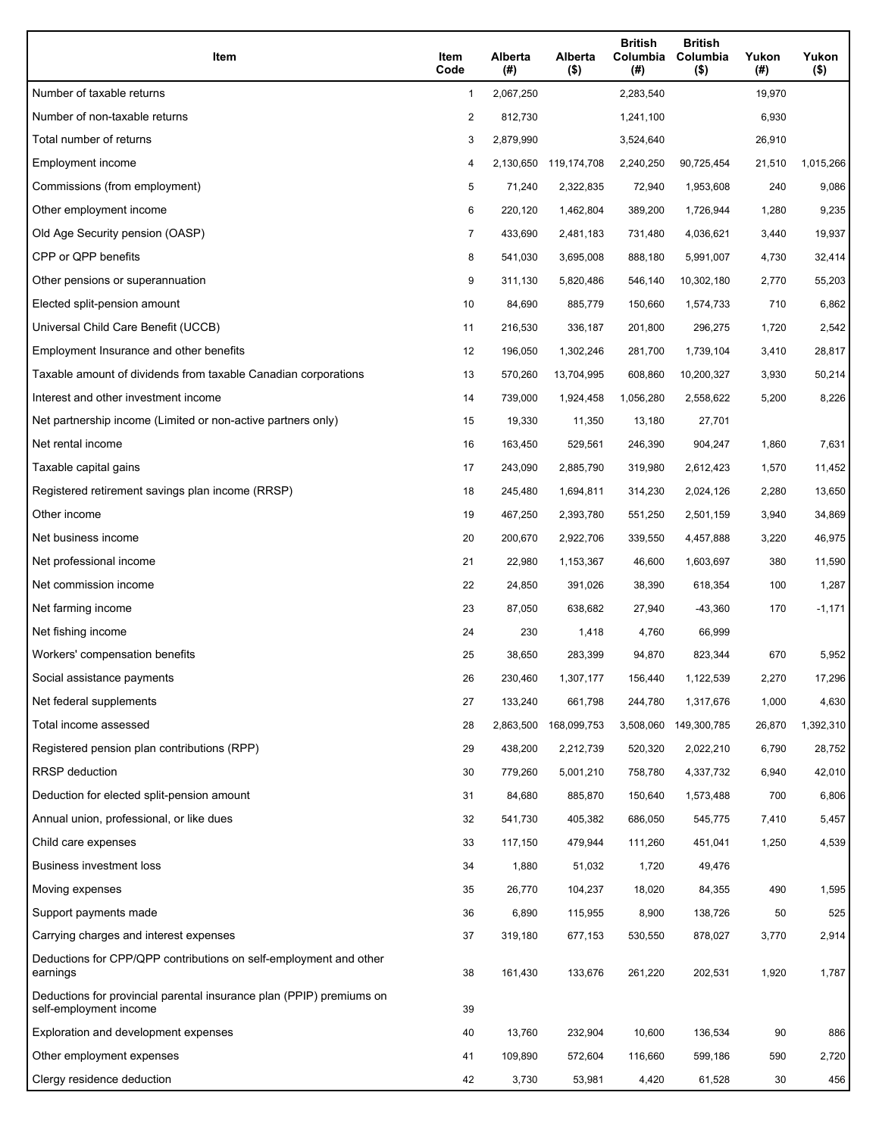| Item                                                                                           | Item<br>Code   | Alberta<br>(#) | Alberta<br>$($ \$)    | <b>British</b><br>Columbia<br>(# ) | <b>British</b><br>Columbia<br>$($ \$) | Yukon<br>(#) | Yukon<br>$($ \$) |
|------------------------------------------------------------------------------------------------|----------------|----------------|-----------------------|------------------------------------|---------------------------------------|--------------|------------------|
| Number of taxable returns                                                                      | 1              | 2,067,250      |                       | 2,283,540                          |                                       | 19,970       |                  |
| Number of non-taxable returns                                                                  | 2              | 812,730        |                       | 1,241,100                          |                                       | 6,930        |                  |
| Total number of returns                                                                        | 3              | 2,879,990      |                       | 3,524,640                          |                                       | 26,910       |                  |
| Employment income                                                                              | 4              |                | 2,130,650 119,174,708 | 2,240,250                          | 90,725,454                            | 21,510       | 1,015,266        |
| Commissions (from employment)                                                                  | 5              | 71,240         | 2,322,835             | 72,940                             | 1,953,608                             | 240          | 9,086            |
| Other employment income                                                                        | 6              | 220,120        | 1,462,804             | 389,200                            | 1,726,944                             | 1,280        | 9,235            |
| Old Age Security pension (OASP)                                                                | $\overline{7}$ | 433,690        | 2,481,183             | 731,480                            | 4,036,621                             | 3,440        | 19,937           |
| CPP or QPP benefits                                                                            | 8              | 541,030        | 3,695,008             | 888,180                            | 5,991,007                             | 4,730        | 32,414           |
| Other pensions or superannuation                                                               | 9              | 311,130        | 5,820,486             | 546,140                            | 10,302,180                            | 2,770        | 55,203           |
| Elected split-pension amount                                                                   | 10             | 84,690         | 885,779               | 150,660                            | 1,574,733                             | 710          | 6,862            |
| Universal Child Care Benefit (UCCB)                                                            | 11             | 216,530        | 336,187               | 201,800                            | 296,275                               | 1,720        | 2,542            |
| Employment Insurance and other benefits                                                        | 12             | 196,050        | 1,302,246             | 281,700                            | 1,739,104                             | 3,410        | 28,817           |
| Taxable amount of dividends from taxable Canadian corporations                                 | 13             | 570,260        | 13,704,995            | 608,860                            | 10,200,327                            | 3,930        | 50,214           |
| Interest and other investment income                                                           | 14             | 739,000        | 1,924,458             | 1,056,280                          | 2,558,622                             | 5,200        | 8,226            |
| Net partnership income (Limited or non-active partners only)                                   | 15             | 19,330         | 11,350                | 13,180                             | 27,701                                |              |                  |
| Net rental income                                                                              | 16             | 163,450        | 529,561               | 246,390                            | 904,247                               | 1,860        | 7,631            |
| Taxable capital gains                                                                          | 17             | 243,090        | 2,885,790             | 319,980                            | 2,612,423                             | 1,570        | 11,452           |
| Registered retirement savings plan income (RRSP)                                               | 18             | 245,480        | 1,694,811             | 314,230                            | 2,024,126                             | 2,280        | 13,650           |
| Other income                                                                                   | 19             | 467,250        | 2,393,780             | 551,250                            | 2,501,159                             | 3,940        | 34,869           |
| Net business income                                                                            | 20             | 200,670        | 2,922,706             | 339,550                            | 4,457,888                             | 3,220        | 46,975           |
| Net professional income                                                                        | 21             | 22,980         | 1,153,367             | 46,600                             | 1,603,697                             | 380          | 11,590           |
| Net commission income                                                                          | 22             | 24,850         | 391,026               | 38,390                             | 618,354                               | 100          | 1,287            |
| Net farming income                                                                             | 23             | 87,050         | 638,682               | 27,940                             | $-43,360$                             | 170          | $-1,171$         |
| Net fishing income                                                                             | 24             | 230            | 1,418                 | 4,760                              | 66,999                                |              |                  |
| Workers' compensation benefits                                                                 | 25             | 38,650         | 283,399               | 94,870                             | 823,344                               | 670          | 5,952            |
| Social assistance payments                                                                     | 26             | 230,460        | 1,307,177             | 156,440                            | 1,122,539                             | 2,270        | 17,296           |
| Net federal supplements                                                                        | 27             | 133,240        | 661,798               | 244,780                            | 1,317,676                             | 1,000        | 4,630            |
| Total income assessed                                                                          | 28             | 2,863,500      | 168,099,753           | 3,508,060                          | 149,300,785                           | 26,870       | 1,392,310        |
| Registered pension plan contributions (RPP)                                                    | 29             | 438,200        | 2,212,739             | 520,320                            | 2,022,210                             | 6,790        | 28,752           |
| <b>RRSP</b> deduction                                                                          | 30             | 779,260        | 5,001,210             | 758,780                            | 4,337,732                             | 6,940        | 42,010           |
| Deduction for elected split-pension amount                                                     | 31             | 84,680         | 885,870               | 150,640                            | 1,573,488                             | 700          | 6,806            |
| Annual union, professional, or like dues                                                       | 32             | 541,730        | 405,382               | 686,050                            | 545,775                               | 7,410        | 5,457            |
| Child care expenses                                                                            | 33             | 117,150        | 479,944               | 111,260                            | 451,041                               | 1,250        | 4,539            |
| <b>Business investment loss</b>                                                                | 34             | 1,880          | 51,032                | 1,720                              | 49,476                                |              |                  |
| Moving expenses                                                                                | 35             | 26,770         | 104,237               | 18,020                             | 84,355                                | 490          | 1,595            |
| Support payments made                                                                          | 36             | 6,890          | 115,955               | 8,900                              | 138,726                               | 50           | 525              |
| Carrying charges and interest expenses                                                         | 37             | 319,180        | 677,153               | 530,550                            | 878,027                               | 3,770        | 2,914            |
| Deductions for CPP/QPP contributions on self-employment and other<br>earnings                  | 38             | 161,430        | 133,676               | 261,220                            | 202,531                               | 1,920        | 1,787            |
| Deductions for provincial parental insurance plan (PPIP) premiums on<br>self-employment income | 39             |                |                       |                                    |                                       |              |                  |
| Exploration and development expenses                                                           | 40             | 13,760         | 232,904               | 10,600                             | 136,534                               | 90           | 886              |
| Other employment expenses                                                                      | 41             | 109,890        | 572,604               | 116,660                            | 599,186                               | 590          | 2,720            |
| Clergy residence deduction                                                                     | 42             | 3,730          | 53,981                | 4,420                              | 61,528                                | 30           | 456              |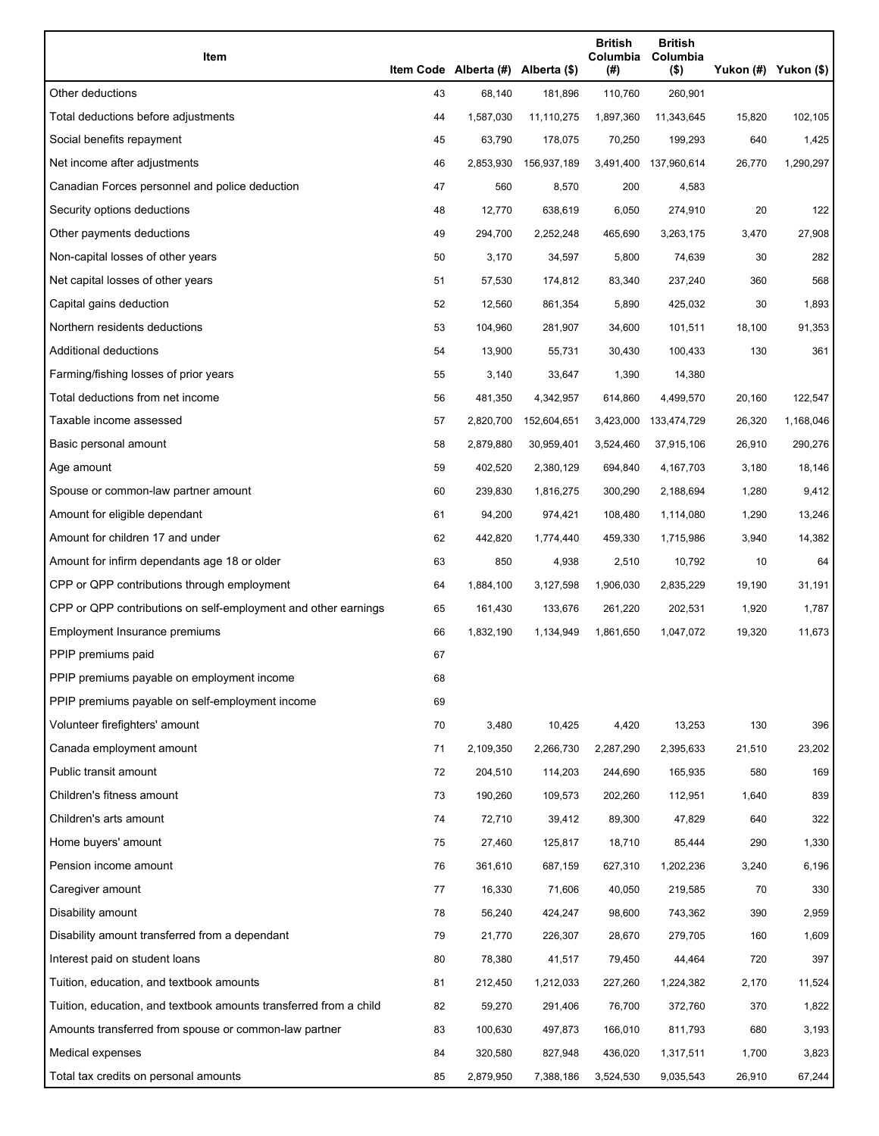| Item                                                              |    | Item Code Alberta (#) Alberta (\$) |             | <b>British</b><br>Columbia<br>(#) | <b>British</b><br>Columbia<br>$($ \$) |        | Yukon (#) Yukon (\$) |
|-------------------------------------------------------------------|----|------------------------------------|-------------|-----------------------------------|---------------------------------------|--------|----------------------|
| Other deductions                                                  | 43 | 68,140                             | 181,896     | 110,760                           | 260,901                               |        |                      |
| Total deductions before adjustments                               | 44 | 1,587,030                          | 11,110,275  | 1,897,360                         | 11,343,645                            | 15,820 | 102,105              |
| Social benefits repayment                                         | 45 | 63,790                             | 178,075     | 70,250                            | 199,293                               | 640    | 1,425                |
| Net income after adjustments                                      | 46 | 2,853,930                          | 156,937,189 |                                   | 3,491,400 137,960,614                 | 26,770 | 1,290,297            |
| Canadian Forces personnel and police deduction                    | 47 | 560                                | 8,570       | 200                               | 4,583                                 |        |                      |
| Security options deductions                                       | 48 | 12,770                             | 638,619     | 6,050                             | 274,910                               | 20     | 122                  |
| Other payments deductions                                         | 49 | 294,700                            | 2,252,248   | 465,690                           | 3,263,175                             | 3,470  | 27,908               |
| Non-capital losses of other years                                 | 50 | 3,170                              | 34,597      | 5,800                             | 74,639                                | 30     | 282                  |
| Net capital losses of other years                                 | 51 | 57,530                             | 174,812     | 83,340                            | 237,240                               | 360    | 568                  |
| Capital gains deduction                                           | 52 | 12,560                             | 861,354     | 5,890                             | 425,032                               | 30     | 1,893                |
| Northern residents deductions                                     | 53 | 104,960                            | 281,907     | 34,600                            | 101,511                               | 18,100 | 91,353               |
| Additional deductions                                             | 54 | 13,900                             | 55,731      | 30,430                            | 100,433                               | 130    | 361                  |
| Farming/fishing losses of prior years                             | 55 | 3,140                              | 33,647      | 1,390                             | 14,380                                |        |                      |
| Total deductions from net income                                  | 56 | 481,350                            | 4,342,957   | 614,860                           | 4,499,570                             | 20,160 | 122,547              |
| Taxable income assessed                                           | 57 | 2,820,700                          | 152,604,651 | 3,423,000                         | 133,474,729                           | 26,320 | 1,168,046            |
| Basic personal amount                                             | 58 | 2,879,880                          | 30,959,401  | 3,524,460                         | 37,915,106                            | 26,910 | 290,276              |
| Age amount                                                        | 59 | 402,520                            | 2,380,129   | 694,840                           | 4,167,703                             | 3,180  | 18,146               |
| Spouse or common-law partner amount                               | 60 | 239,830                            | 1,816,275   | 300,290                           | 2,188,694                             | 1,280  | 9,412                |
| Amount for eligible dependant                                     | 61 | 94,200                             | 974,421     | 108,480                           | 1,114,080                             | 1,290  | 13,246               |
| Amount for children 17 and under                                  | 62 | 442,820                            | 1,774,440   | 459,330                           | 1,715,986                             | 3,940  | 14,382               |
| Amount for infirm dependants age 18 or older                      | 63 | 850                                | 4,938       | 2,510                             | 10,792                                | 10     | 64                   |
| CPP or QPP contributions through employment                       | 64 | 1,884,100                          | 3,127,598   | 1,906,030                         | 2,835,229                             | 19,190 | 31,191               |
| CPP or QPP contributions on self-employment and other earnings    | 65 | 161,430                            | 133,676     | 261,220                           | 202,531                               | 1,920  | 1,787                |
| Employment Insurance premiums                                     | 66 | 1,832,190                          | 1,134,949   | 1,861,650                         | 1,047,072                             | 19,320 | 11,673               |
| PPIP premiums paid                                                | 67 |                                    |             |                                   |                                       |        |                      |
| PPIP premiums payable on employment income                        | 68 |                                    |             |                                   |                                       |        |                      |
| PPIP premiums payable on self-employment income                   | 69 |                                    |             |                                   |                                       |        |                      |
| Volunteer firefighters' amount                                    | 70 | 3,480                              | 10,425      | 4,420                             | 13,253                                | 130    | 396                  |
| Canada employment amount                                          | 71 | 2,109,350                          | 2,266,730   | 2,287,290                         | 2,395,633                             | 21,510 | 23,202               |
| Public transit amount                                             | 72 | 204,510                            | 114,203     | 244,690                           | 165,935                               | 580    | 169                  |
| Children's fitness amount                                         | 73 | 190,260                            | 109,573     | 202,260                           | 112,951                               | 1,640  | 839                  |
| Children's arts amount                                            | 74 | 72,710                             | 39,412      | 89,300                            | 47,829                                | 640    | 322                  |
| Home buyers' amount                                               | 75 | 27,460                             | 125,817     | 18,710                            | 85,444                                | 290    | 1,330                |
| Pension income amount                                             | 76 | 361,610                            | 687,159     | 627,310                           | 1,202,236                             | 3,240  | 6,196                |
| Caregiver amount                                                  | 77 | 16,330                             | 71,606      | 40,050                            | 219,585                               | 70     | 330                  |
| Disability amount                                                 | 78 | 56,240                             | 424,247     | 98,600                            | 743,362                               | 390    | 2,959                |
| Disability amount transferred from a dependant                    | 79 | 21,770                             | 226,307     | 28,670                            | 279,705                               | 160    | 1,609                |
| Interest paid on student loans                                    | 80 | 78,380                             | 41,517      | 79,450                            | 44,464                                | 720    | 397                  |
| Tuition, education, and textbook amounts                          | 81 | 212,450                            | 1,212,033   | 227,260                           | 1,224,382                             | 2,170  | 11,524               |
| Tuition, education, and textbook amounts transferred from a child | 82 | 59,270                             | 291,406     | 76,700                            | 372,760                               | 370    | 1,822                |
| Amounts transferred from spouse or common-law partner             | 83 | 100,630                            | 497,873     | 166,010                           | 811,793                               | 680    | 3,193                |
| Medical expenses                                                  | 84 | 320,580                            | 827,948     | 436,020                           | 1,317,511                             | 1,700  | 3,823                |
| Total tax credits on personal amounts                             | 85 | 2,879,950                          | 7,388,186   | 3,524,530                         | 9,035,543                             | 26,910 | 67,244               |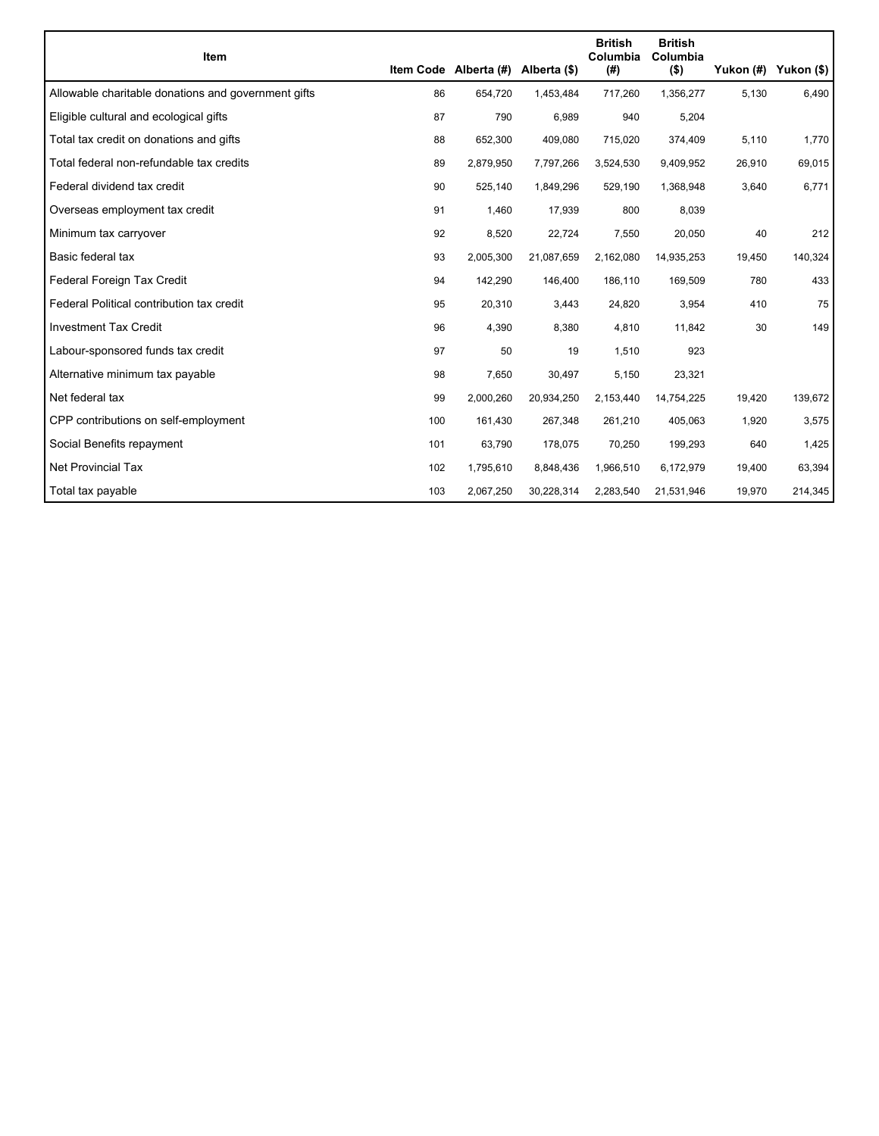|                                                     |     |                                    |            | <b>British</b>  | <b>British</b>      |        |                      |
|-----------------------------------------------------|-----|------------------------------------|------------|-----------------|---------------------|--------|----------------------|
| <b>Item</b>                                         |     | Item Code Alberta (#) Alberta (\$) |            | Columbia<br>(#) | Columbia<br>$($ \$) |        | Yukon (#) Yukon (\$) |
| Allowable charitable donations and government gifts | 86  | 654,720                            | 1,453,484  | 717,260         | 1,356,277           | 5,130  | 6,490                |
| Eligible cultural and ecological gifts              | 87  | 790                                | 6,989      | 940             | 5,204               |        |                      |
| Total tax credit on donations and gifts             | 88  | 652,300                            | 409,080    | 715,020         | 374,409             | 5,110  | 1,770                |
| Total federal non-refundable tax credits            | 89  | 2,879,950                          | 7,797,266  | 3,524,530       | 9,409,952           | 26,910 | 69,015               |
| Federal dividend tax credit                         | 90  | 525,140                            | 1,849,296  | 529,190         | 1,368,948           | 3,640  | 6,771                |
| Overseas employment tax credit                      | 91  | 1,460                              | 17,939     | 800             | 8,039               |        |                      |
| Minimum tax carryover                               | 92  | 8,520                              | 22,724     | 7,550           | 20,050              | 40     | 212                  |
| Basic federal tax                                   | 93  | 2,005,300                          | 21,087,659 | 2,162,080       | 14,935,253          | 19,450 | 140,324              |
| Federal Foreign Tax Credit                          | 94  | 142,290                            | 146,400    | 186,110         | 169,509             | 780    | 433                  |
| Federal Political contribution tax credit           | 95  | 20,310                             | 3,443      | 24,820          | 3,954               | 410    | 75                   |
| <b>Investment Tax Credit</b>                        | 96  | 4,390                              | 8,380      | 4,810           | 11,842              | 30     | 149                  |
| Labour-sponsored funds tax credit                   | 97  | 50                                 | 19         | 1,510           | 923                 |        |                      |
| Alternative minimum tax payable                     | 98  | 7,650                              | 30,497     | 5,150           | 23,321              |        |                      |
| Net federal tax                                     | 99  | 2,000,260                          | 20,934,250 | 2,153,440       | 14,754,225          | 19,420 | 139,672              |
| CPP contributions on self-employment                | 100 | 161,430                            | 267,348    | 261,210         | 405,063             | 1,920  | 3,575                |
| Social Benefits repayment                           | 101 | 63,790                             | 178,075    | 70,250          | 199,293             | 640    | 1,425                |
| Net Provincial Tax                                  | 102 | 1,795,610                          | 8,848,436  | 1,966,510       | 6,172,979           | 19,400 | 63,394               |
| Total tax payable                                   | 103 | 2,067,250                          | 30,228,314 | 2,283,540       | 21,531,946          | 19,970 | 214,345              |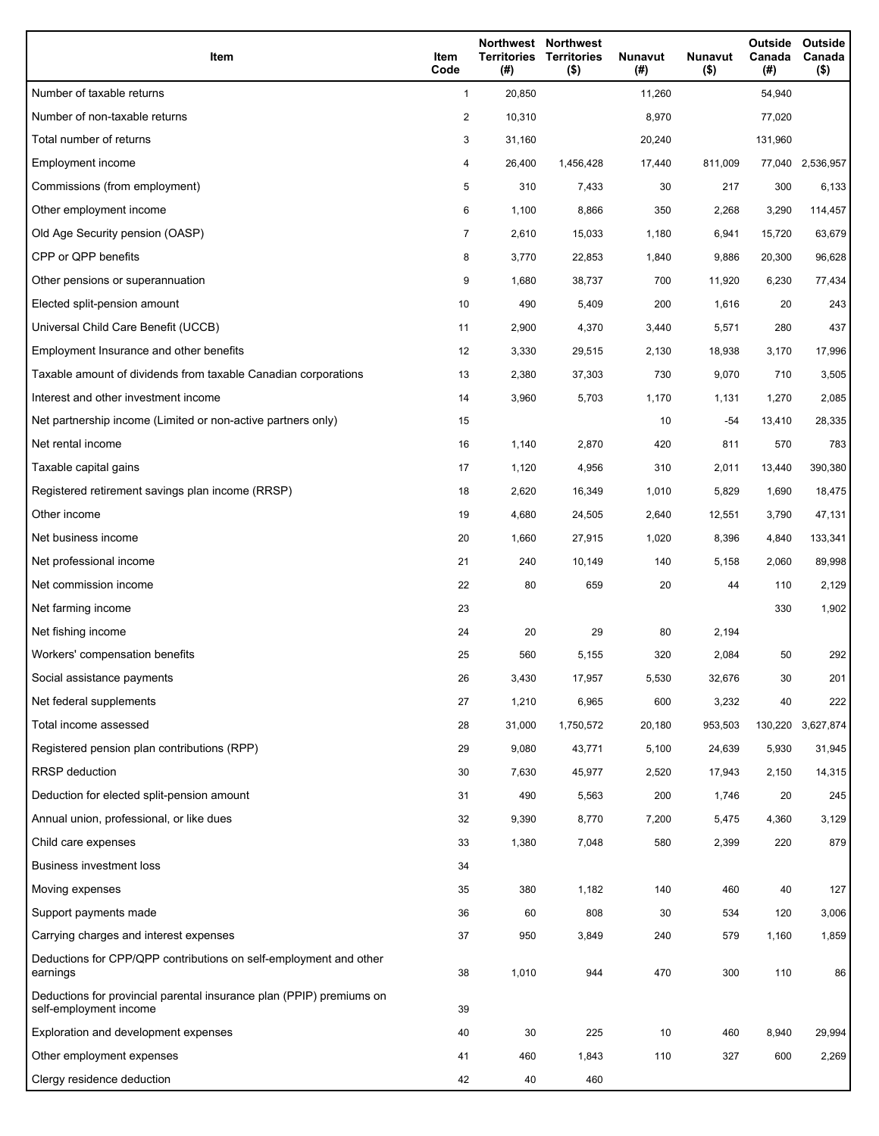| Item                                                                                           | Item<br>Code   | Territories<br>(#) | Northwest Northwest<br><b>Territories</b><br>$($ \$) | <b>Nunavut</b><br>(# ) | Nunavut<br>$($ \$) | Outside<br>Canada<br>(# ) | Outside<br>Canada<br>$($ \$) |
|------------------------------------------------------------------------------------------------|----------------|--------------------|------------------------------------------------------|------------------------|--------------------|---------------------------|------------------------------|
| Number of taxable returns                                                                      | $\mathbf{1}$   | 20,850             |                                                      | 11,260                 |                    | 54,940                    |                              |
| Number of non-taxable returns                                                                  | 2              | 10,310             |                                                      | 8,970                  |                    | 77,020                    |                              |
| Total number of returns                                                                        | 3              | 31,160             |                                                      | 20,240                 |                    | 131,960                   |                              |
| Employment income                                                                              | 4              | 26,400             | 1,456,428                                            | 17,440                 | 811,009            | 77,040                    | 2,536,957                    |
| Commissions (from employment)                                                                  | 5              | 310                | 7,433                                                | 30                     | 217                | 300                       | 6,133                        |
| Other employment income                                                                        | 6              | 1,100              | 8,866                                                | 350                    | 2,268              | 3,290                     | 114,457                      |
| Old Age Security pension (OASP)                                                                | $\overline{7}$ | 2,610              | 15,033                                               | 1,180                  | 6,941              | 15,720                    | 63,679                       |
| CPP or QPP benefits                                                                            | 8              | 3,770              | 22,853                                               | 1,840                  | 9,886              | 20,300                    | 96,628                       |
| Other pensions or superannuation                                                               | 9              | 1,680              | 38,737                                               | 700                    | 11,920             | 6,230                     | 77,434                       |
| Elected split-pension amount                                                                   | 10             | 490                | 5,409                                                | 200                    | 1,616              | 20                        | 243                          |
| Universal Child Care Benefit (UCCB)                                                            | 11             | 2,900              | 4,370                                                | 3,440                  | 5,571              | 280                       | 437                          |
| Employment Insurance and other benefits                                                        | 12             | 3,330              | 29,515                                               | 2,130                  | 18,938             | 3,170                     | 17,996                       |
| Taxable amount of dividends from taxable Canadian corporations                                 | 13             | 2,380              | 37,303                                               | 730                    | 9,070              | 710                       | 3,505                        |
| Interest and other investment income                                                           | 14             | 3,960              | 5,703                                                | 1,170                  | 1,131              | 1,270                     | 2,085                        |
| Net partnership income (Limited or non-active partners only)                                   | 15             |                    |                                                      | 10                     | $-54$              | 13,410                    | 28,335                       |
| Net rental income                                                                              | 16             | 1,140              | 2,870                                                | 420                    | 811                | 570                       | 783                          |
| Taxable capital gains                                                                          | 17             | 1,120              | 4,956                                                | 310                    | 2,011              | 13,440                    | 390,380                      |
| Registered retirement savings plan income (RRSP)                                               | 18             | 2,620              | 16,349                                               | 1,010                  | 5,829              | 1,690                     | 18,475                       |
| Other income                                                                                   | 19             | 4,680              | 24,505                                               | 2,640                  | 12,551             | 3,790                     | 47,131                       |
| Net business income                                                                            | 20             | 1,660              | 27,915                                               | 1,020                  | 8,396              | 4,840                     | 133,341                      |
| Net professional income                                                                        | 21             | 240                | 10,149                                               | 140                    | 5,158              | 2,060                     | 89,998                       |
| Net commission income                                                                          | 22             | 80                 | 659                                                  | 20                     | 44                 | 110                       | 2,129                        |
| Net farming income                                                                             | 23             |                    |                                                      |                        |                    | 330                       | 1,902                        |
| Net fishing income                                                                             | 24             | 20                 | 29                                                   | 80                     | 2,194              |                           |                              |
| Workers' compensation benefits                                                                 | 25             | 560                | 5,155                                                | 320                    | 2,084              | 50                        | 292                          |
| Social assistance payments                                                                     | 26             | 3,430              | 17,957                                               | 5,530                  | 32,676             | 30                        | 201                          |
| Net federal supplements                                                                        | 27             | 1,210              | 6,965                                                | 600                    | 3,232              | 40                        | 222                          |
| Total income assessed                                                                          | 28             | 31,000             | 1,750,572                                            | 20,180                 | 953,503            | 130,220                   | 3,627,874                    |
| Registered pension plan contributions (RPP)                                                    | 29             | 9,080              | 43,771                                               | 5,100                  | 24,639             | 5,930                     | 31,945                       |
| <b>RRSP</b> deduction                                                                          | 30             | 7,630              | 45,977                                               | 2,520                  | 17,943             | 2,150                     | 14,315                       |
| Deduction for elected split-pension amount                                                     | 31             | 490                | 5,563                                                | 200                    | 1,746              | 20                        | 245                          |
| Annual union, professional, or like dues                                                       | 32             | 9,390              | 8,770                                                | 7,200                  | 5,475              | 4,360                     | 3,129                        |
| Child care expenses                                                                            | 33             | 1,380              | 7,048                                                | 580                    | 2,399              | 220                       | 879                          |
| <b>Business investment loss</b>                                                                | 34             |                    |                                                      |                        |                    |                           |                              |
| Moving expenses                                                                                | 35             | 380                | 1,182                                                | 140                    | 460                | 40                        | 127                          |
| Support payments made                                                                          | 36             | 60                 | 808                                                  | 30                     | 534                | 120                       | 3,006                        |
| Carrying charges and interest expenses                                                         | 37             | 950                | 3,849                                                | 240                    | 579                | 1,160                     | 1,859                        |
| Deductions for CPP/QPP contributions on self-employment and other<br>earnings                  | 38             | 1,010              | 944                                                  | 470                    | 300                | 110                       | 86                           |
| Deductions for provincial parental insurance plan (PPIP) premiums on<br>self-employment income | 39             |                    |                                                      |                        |                    |                           |                              |
| Exploration and development expenses                                                           | 40             | 30                 | 225                                                  | 10                     | 460                | 8,940                     | 29,994                       |
| Other employment expenses                                                                      | 41             | 460                | 1,843                                                | 110                    | 327                | 600                       | 2,269                        |
| Clergy residence deduction                                                                     | 42             | 40                 | 460                                                  |                        |                    |                           |                              |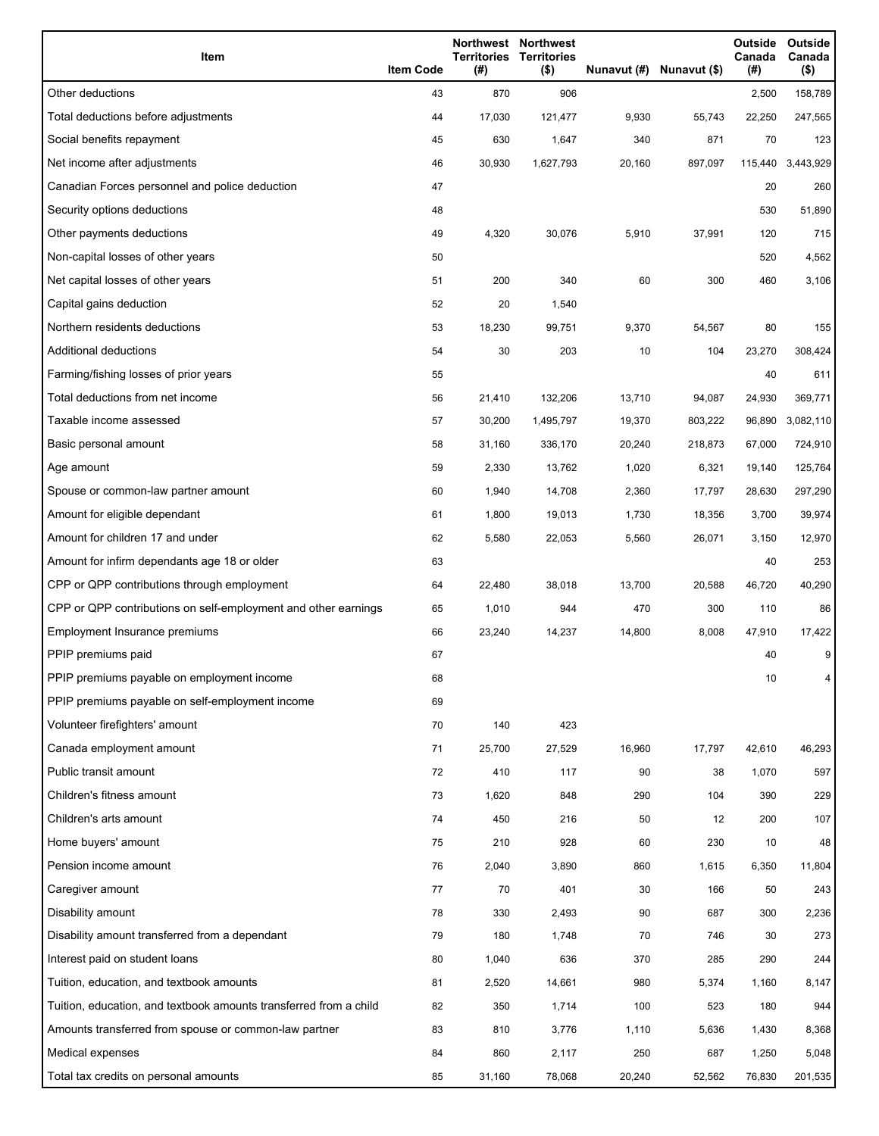| Item                                                              | <b>Item Code</b> | <b>Territories</b><br>(#) | Northwest Northwest<br><b>Territories</b><br>$($ \$) |        | Nunavut (#) Nunavut (\$) | Outside<br>Canada<br>(#) | Outside<br>Canada<br>$($ \$) |
|-------------------------------------------------------------------|------------------|---------------------------|------------------------------------------------------|--------|--------------------------|--------------------------|------------------------------|
| Other deductions                                                  | 43               | 870                       | 906                                                  |        |                          | 2,500                    | 158,789                      |
| Total deductions before adjustments                               | 44               | 17,030                    | 121,477                                              | 9,930  | 55,743                   | 22,250                   | 247,565                      |
| Social benefits repayment                                         | 45               | 630                       | 1,647                                                | 340    | 871                      | 70                       | 123                          |
| Net income after adjustments                                      | 46               | 30,930                    | 1,627,793                                            | 20,160 | 897,097                  | 115,440                  | 3,443,929                    |
| Canadian Forces personnel and police deduction                    | 47               |                           |                                                      |        |                          | 20                       | 260                          |
| Security options deductions                                       | 48               |                           |                                                      |        |                          | 530                      | 51,890                       |
| Other payments deductions                                         | 49               | 4,320                     | 30,076                                               | 5,910  | 37,991                   | 120                      | 715                          |
| Non-capital losses of other years                                 | 50               |                           |                                                      |        |                          | 520                      | 4,562                        |
| Net capital losses of other years                                 | 51               | 200                       | 340                                                  | 60     | 300                      | 460                      | 3,106                        |
| Capital gains deduction                                           | 52               | 20                        | 1,540                                                |        |                          |                          |                              |
| Northern residents deductions                                     | 53               | 18,230                    | 99,751                                               | 9,370  | 54,567                   | 80                       | 155                          |
| <b>Additional deductions</b>                                      | 54               | 30                        | 203                                                  | 10     | 104                      | 23,270                   | 308,424                      |
| Farming/fishing losses of prior years                             | 55               |                           |                                                      |        |                          | 40                       | 611                          |
| Total deductions from net income                                  | 56               | 21,410                    | 132,206                                              | 13,710 | 94,087                   | 24,930                   | 369,771                      |
| Taxable income assessed                                           | 57               | 30,200                    | 1,495,797                                            | 19,370 | 803,222                  | 96,890                   | 3,082,110                    |
| Basic personal amount                                             | 58               | 31,160                    | 336,170                                              | 20,240 | 218,873                  | 67,000                   | 724,910                      |
| Age amount                                                        | 59               | 2,330                     | 13,762                                               | 1,020  | 6,321                    | 19,140                   | 125,764                      |
| Spouse or common-law partner amount                               | 60               | 1,940                     | 14,708                                               | 2,360  | 17,797                   | 28,630                   | 297,290                      |
| Amount for eligible dependant                                     | 61               | 1,800                     | 19,013                                               | 1,730  | 18,356                   | 3,700                    | 39,974                       |
| Amount for children 17 and under                                  | 62               | 5,580                     | 22,053                                               | 5,560  | 26,071                   | 3,150                    | 12,970                       |
| Amount for infirm dependants age 18 or older                      | 63               |                           |                                                      |        |                          | 40                       | 253                          |
| CPP or QPP contributions through employment                       | 64               | 22,480                    | 38,018                                               | 13,700 | 20,588                   | 46,720                   | 40,290                       |
| CPP or QPP contributions on self-employment and other earnings    | 65               | 1,010                     | 944                                                  | 470    | 300                      | 110                      | 86                           |
| Employment Insurance premiums                                     | 66               | 23,240                    | 14,237                                               | 14,800 | 8,008                    | 47,910                   | 17,422                       |
| PPIP premiums paid                                                | 67               |                           |                                                      |        |                          | 40                       | 9                            |
| PPIP premiums payable on employment income                        | 68               |                           |                                                      |        |                          | 10                       | 4                            |
| PPIP premiums payable on self-employment income                   | 69               |                           |                                                      |        |                          |                          |                              |
| Volunteer firefighters' amount                                    | 70               | 140                       | 423                                                  |        |                          |                          |                              |
| Canada employment amount                                          | 71               | 25,700                    | 27,529                                               | 16,960 | 17,797                   | 42,610                   | 46,293                       |
| Public transit amount                                             | 72               | 410                       | 117                                                  | 90     | 38                       | 1,070                    | 597                          |
| Children's fitness amount                                         | 73               | 1,620                     | 848                                                  | 290    | 104                      | 390                      | 229                          |
| Children's arts amount                                            | 74               | 450                       | 216                                                  | 50     | 12                       | 200                      | 107                          |
| Home buyers' amount                                               | 75               | 210                       | 928                                                  | 60     | 230                      | 10                       | 48                           |
| Pension income amount                                             | 76               | 2,040                     | 3,890                                                | 860    | 1,615                    | 6,350                    | 11,804                       |
| Caregiver amount                                                  | 77               | 70                        | 401                                                  | 30     | 166                      | 50                       | 243                          |
| Disability amount                                                 | 78               | 330                       | 2,493                                                | 90     | 687                      | 300                      | 2,236                        |
| Disability amount transferred from a dependant                    | 79               | 180                       | 1,748                                                | 70     | 746                      | 30                       | 273                          |
| Interest paid on student loans                                    | 80               | 1,040                     | 636                                                  | 370    | 285                      | 290                      | 244                          |
| Tuition, education, and textbook amounts                          | 81               | 2,520                     | 14,661                                               | 980    | 5,374                    | 1,160                    | 8,147                        |
| Tuition, education, and textbook amounts transferred from a child | 82               | 350                       | 1,714                                                | 100    | 523                      | 180                      | 944                          |
| Amounts transferred from spouse or common-law partner             | 83               | 810                       | 3,776                                                | 1,110  | 5,636                    | 1,430                    | 8,368                        |
| Medical expenses                                                  | 84               | 860                       | 2,117                                                | 250    | 687                      | 1,250                    | 5,048                        |
| Total tax credits on personal amounts                             | 85               | 31,160                    | 78,068                                               | 20,240 | 52,562                   | 76,830                   | 201,535                      |